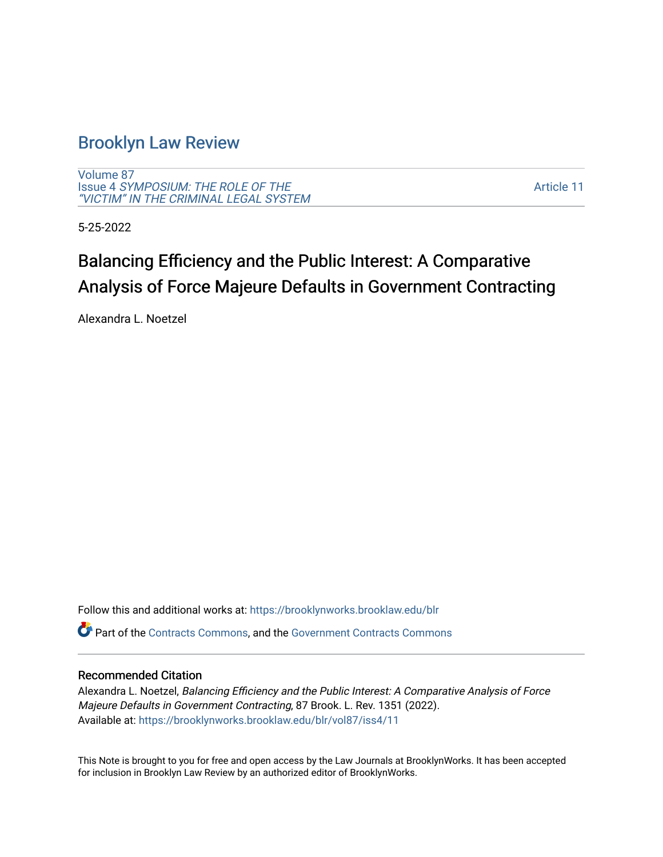# [Brooklyn Law Review](https://brooklynworks.brooklaw.edu/blr)

[Volume 87](https://brooklynworks.brooklaw.edu/blr/vol87) Issue 4 [SYMPOSIUM: THE ROLE OF THE](https://brooklynworks.brooklaw.edu/blr/vol87/iss4) ["VICTIM" IN THE CRIMINAL LEGAL SYSTEM](https://brooklynworks.brooklaw.edu/blr/vol87/iss4)

[Article 11](https://brooklynworks.brooklaw.edu/blr/vol87/iss4/11) 

5-25-2022

# Balancing Efficiency and the Public Interest: A Comparative Analysis of Force Majeure Defaults in Government Contracting

Alexandra L. Noetzel

Follow this and additional works at: [https://brooklynworks.brooklaw.edu/blr](https://brooklynworks.brooklaw.edu/blr?utm_source=brooklynworks.brooklaw.edu%2Fblr%2Fvol87%2Fiss4%2F11&utm_medium=PDF&utm_campaign=PDFCoverPages) 

Part of the [Contracts Commons](https://network.bepress.com/hgg/discipline/591?utm_source=brooklynworks.brooklaw.edu%2Fblr%2Fvol87%2Fiss4%2F11&utm_medium=PDF&utm_campaign=PDFCoverPages), and the [Government Contracts Commons](https://network.bepress.com/hgg/discipline/845?utm_source=brooklynworks.brooklaw.edu%2Fblr%2Fvol87%2Fiss4%2F11&utm_medium=PDF&utm_campaign=PDFCoverPages) 

## Recommended Citation

Alexandra L. Noetzel, Balancing Efficiency and the Public Interest: A Comparative Analysis of Force Majeure Defaults in Government Contracting, 87 Brook. L. Rev. 1351 (2022). Available at: [https://brooklynworks.brooklaw.edu/blr/vol87/iss4/11](https://brooklynworks.brooklaw.edu/blr/vol87/iss4/11?utm_source=brooklynworks.brooklaw.edu%2Fblr%2Fvol87%2Fiss4%2F11&utm_medium=PDF&utm_campaign=PDFCoverPages) 

This Note is brought to you for free and open access by the Law Journals at BrooklynWorks. It has been accepted for inclusion in Brooklyn Law Review by an authorized editor of BrooklynWorks.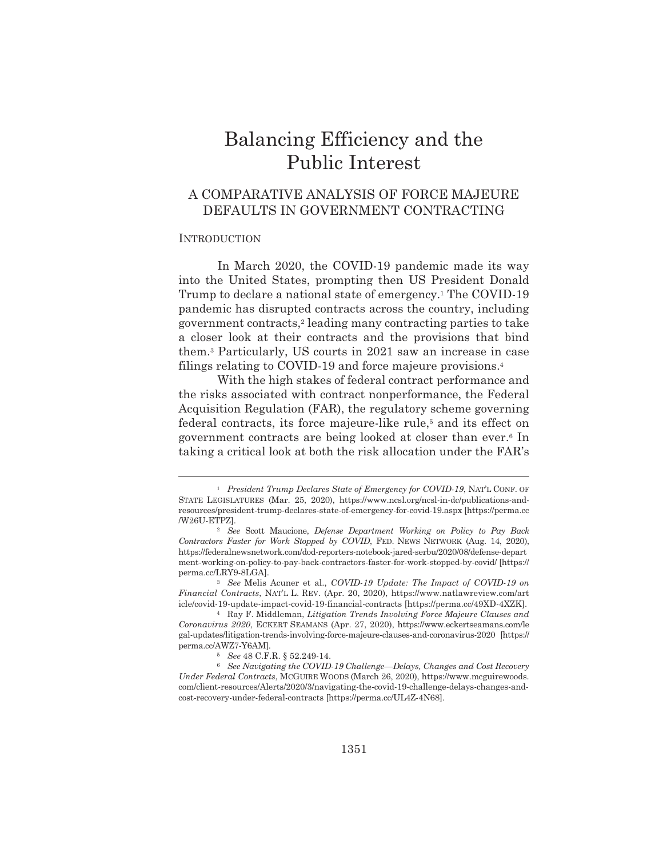# Balancing Efficiency and the **Public Interest**

# A COMPARATIVE ANALYSIS OF FORCE MAJEURE DEFAULTS IN GOVERNMENT CONTRACTING

## **INTRODUCTION**

In March 2020, the COVID-19 pandemic made its way into the United States, prompting then US President Donald Trump to declare a national state of emergency.<sup>1</sup> The COVID-19 pandemic has disrupted contracts across the country, including government contracts,<sup>2</sup> leading many contracting parties to take a closer look at their contracts and the provisions that bind them.<sup>3</sup> Particularly, US courts in 2021 saw an increase in case filings relating to COVID-19 and force majeure provisions.<sup>4</sup>

With the high stakes of federal contract performance and the risks associated with contract nonperformance, the Federal Acquisition Regulation (FAR), the regulatory scheme governing federal contracts, its force majeure-like rule,<sup>5</sup> and its effect on government contracts are being looked at closer than ever.<sup>6</sup> In taking a critical look at both the risk allocation under the FAR's

<sup>&</sup>lt;sup>1</sup> President Trump Declares State of Emergency for COVID-19, NAT'L CONF. OF STATE LEGISLATURES (Mar. 25, 2020), https://www.ncsl.org/ncsl-in-dc/publications-andresources/president-trump-declares-state-of-emergency-for-covid-19.aspx [https://perma.cc /W26U-ETPZI.

<sup>&</sup>lt;sup>2</sup> See Scott Maucione, Defense Department Working on Policy to Pay Back Contractors Faster for Work Stopped by COVID, FED. NEWS NETWORK (Aug. 14, 2020), https://federalnewsnetwork.com/dod-reporters-notebook-jared-serbu/2020/08/defense-depart ment-working-on-policy-to-pay-back-contractors-faster-for-work-stopped-by-covid/ [https:// perma.cc/LRY9-8LGA].

<sup>&</sup>lt;sup>3</sup> See Melis Acuner et al., COVID-19 Update: The Impact of COVID-19 on Financial Contracts, NATL L. REV. (Apr. 20, 2020), https://www.natlawreview.com/art icle/covid-19-update-impact-covid-19-financial-contracts [https://perma.cc/49XD-4XZK].

<sup>&</sup>lt;sup>4</sup> Ray F. Middleman, Litigation Trends Involving Force Majeure Clauses and Coronavirus 2020, ECKERT SEAMANS (Apr. 27, 2020), https://www.eckertseamans.com/le gal-updates/litigation-trends-involving-force-majeure-clauses-and-coronavirus-2020 [https:// perma.cc/AWZ7-Y6AMI.

 $5$  See 48 C.F.R. § 52.249-14.

<sup>&</sup>lt;sup>6</sup> See Navigating the COVID-19 Challenge—Delays, Changes and Cost Recovery Under Federal Contracts, MCGUIRE WOODS (March 26, 2020), https://www.mcguirewoods. com/client-resources/Alerts/2020/3/navigating-the-covid-19-challenge-delays-changes-andcost-recovery-under-federal-contracts [https://perma.cc/UL4Z-4N68].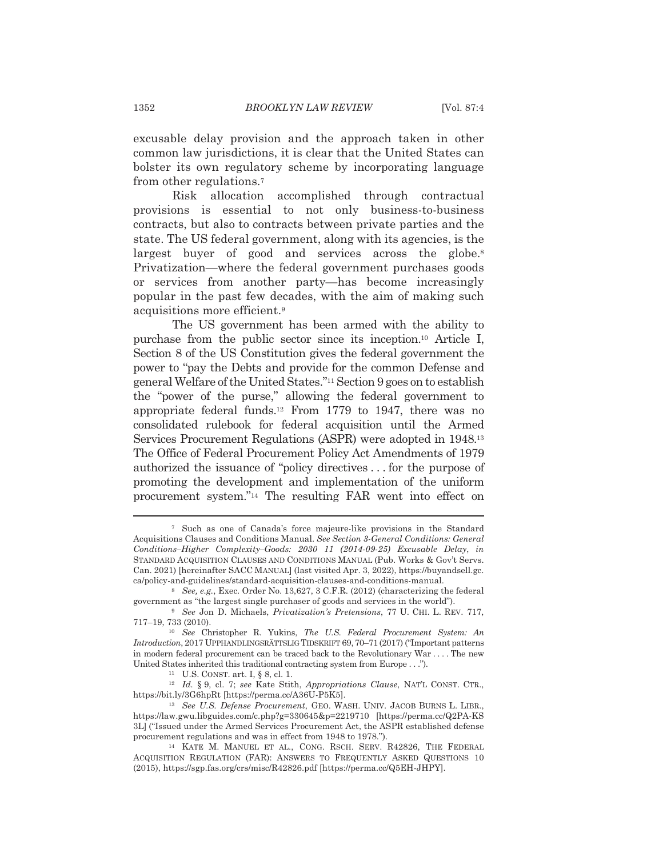excusable delay provision and the approach taken in other common law jurisdictions, it is clear that the United States can bolster its own regulatory scheme by incorporating language from other regulations.<sup>7</sup>

Risk allocation accomplished through contractual provisions is essential to not only business-to-business contracts, but also to contracts between private parties and the state. The US federal government, along with its agencies, is the largest buyer of good and services across the globe.<sup>8</sup> Privatization—where the federal government purchases goods or services from another party—has become increasingly popular in the past few decades, with the aim of making such acquisitions more efficient.<sup>9</sup>

The US government has been armed with the ability to purchase from the public sector since its inception.<sup>10</sup> Article I, Section 8 of the US Constitution gives the federal government the power to "pay the Debts and provide for the common Defense and general Welfare of the United States."<sup>11</sup> Section 9 goes on to establish the "power of the purse," allowing the federal government to appropriate federal funds.<sup>12</sup> From 1779 to 1947, there was no consolidated rulebook for federal acquisition until the Armed Services Procurement Regulations (ASPR) were adopted in 1948.<sup>13</sup> The Office of Federal Procurement Policy Act Amendments of 1979 authorized the issuance of "policy directives... for the purpose of promoting the development and implementation of the uniform procurement system."<sup>14</sup> The resulting FAR went into effect on

<sup>&</sup>lt;sup>7</sup> Such as one of Canada's force majeure-like provisions in the Standard Acquisitions Clauses and Conditions Manual. See Section 3-General Conditions: General Conditions-Higher Complexity-Goods: 2030 11 (2014-09-25) Excusable Delay, in STANDARD ACQUISITION CLAUSES AND CONDITIONS MANUAL (Pub. Works & Gov't Servs. Can. 2021) [hereinafter SACC MANUAL] (last visited Apr. 3, 2022), https://buyandsell.gc. ca/policy-and-guidelines/standard-acquisition-clauses-and-conditions-manual.

<sup>&</sup>lt;sup>8</sup> See, e.g., Exec. Order No. 13,627, 3 C.F.R. (2012) (characterizing the federal government as "the largest single purchaser of goods and services in the world").

<sup>&</sup>lt;sup>9</sup> See Jon D. Michaels, Privatization's Pretensions, 77 U. CHI. L. REV. 717, 717-19, 733 (2010).

<sup>&</sup>lt;sup>10</sup> See Christopher R. Yukins, *The U.S. Federal Procurement System: An* Introduction, 2017 UPPHANDLINGSRÄTTSLIG TIDSKRIFT 69, 70-71 (2017) ("Important patterns in modern federal procurement can be traced back to the Revolutionary War....The new United States inherited this traditional contracting system from Europe . . .").

<sup>&</sup>lt;sup>11</sup> U.S. CONST. art. I, § 8, cl. 1.

<sup>&</sup>lt;sup>12</sup> Id. § 9, cl. 7; see Kate Stith, Appropriations Clause, NAT'L CONST. CTR., https://bit.ly/3G6hpRt [https://perma.cc/A36U-P5K5].

<sup>&</sup>lt;sup>13</sup> See U.S. Defense Procurement, GEO. WASH. UNIV. JACOB BURNS L. LIBR., https://law.gwu.libguides.com/c.php?g=330645&p=2219710 [https://perma.cc/Q2PA-KS] 3L] ("Issued under the Armed Services Procurement Act, the ASPR established defense procurement regulations and was in effect from 1948 to 1978.").

<sup>&</sup>lt;sup>14</sup> KATE M. MANUEL ET AL., CONG. RSCH. SERV. R42826, THE FEDERAL ACQUISITION REGULATION (FAR): ANSWERS TO FREQUENTLY ASKED QUESTIONS 10 (2015), https://sgp.fas.org/crs/misc/R42826.pdf [https://perma.cc/Q5EH-JHPY].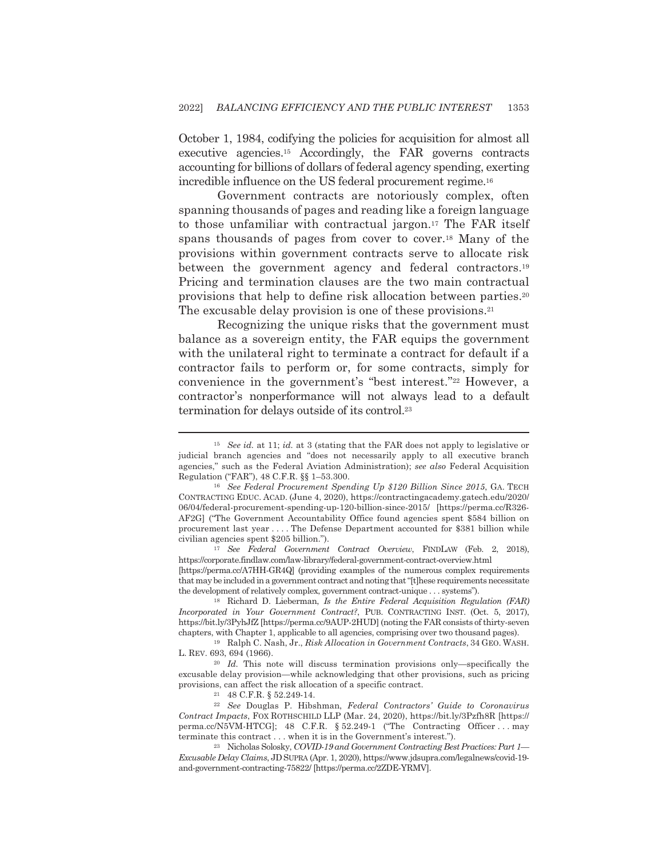October 1, 1984, codifying the policies for acquisition for almost all executive agencies.<sup>15</sup> Accordingly, the FAR governs contracts accounting for billions of dollars of federal agency spending, exerting incredible influence on the US federal procurement regime.<sup>16</sup>

Government contracts are notoriously complex, often spanning thousands of pages and reading like a foreign language to those unfamiliar with contractual jargon.<sup>17</sup> The FAR itself spans thousands of pages from cover to cover.<sup>18</sup> Many of the provisions within government contracts serve to allocate risk between the government agency and federal contractors.<sup>19</sup> Pricing and termination clauses are the two main contractual provisions that help to define risk allocation between parties.<sup>20</sup> The excusable delay provision is one of these provisions.<sup>21</sup>

Recognizing the unique risks that the government must balance as a sovereign entity, the FAR equips the government with the unilateral right to terminate a contract for default if a contractor fails to perform or, for some contracts, simply for convenience in the government's "best interest."<sup>22</sup> However, a contractor's nonperformance will not always lead to a default termination for delays outside of its control.<sup>23</sup>

<sup>17</sup> See Federal Government Contract Overview, FINDLAW (Feb. 2, 2018), https://corporate.findlaw.com/law-library/federal-government-contract-overview.html

[https://perma.cc/A7HH-GR4Q] (providing examples of the numerous complex requirements that may be included in a government contract and noting that "[t] hese requirements necessitate the development of relatively complex, government contract-unique . . . systems").

<sup>18</sup> Richard D. Lieberman, *Is the Entire Federal Acquisition Regulation (FAR)* Incorporated in Your Government Contract?, PUB. CONTRACTING INST. (Oct. 5, 2017), https://bit.ly/3PyhJfZ [https://perma.cc/9AUP-2HUD] (noting the FAR consists of thirty-seven chapters, with Chapter 1, applicable to all agencies, comprising over two thousand pages).

<sup>19</sup> Ralph C. Nash, Jr., *Risk Allocation in Government Contracts*, 34 GEO. WASH. L. REV. 693, 694 (1966).

 $20$  *Id.* This note will discuss termination provisions only-specifically the excusable delay provision—while acknowledging that other provisions, such as pricing provisions, can affect the risk allocation of a specific contract.

<sup>21</sup> 48 C.F.R. § 52.249-14.

<sup>22</sup> See Douglas P. Hibshman, Federal Contractors' Guide to Coronavirus Contract Impacts, FOX ROTHSCHILD LLP (Mar. 24, 2020), https://bit.ly/3Pzfh8R [https:// perma.cc/N5VM-HTCG]; 48 C.F.R. § 52.249-1 ("The Contracting Officer... may terminate this contract . . . when it is in the Government's interest.").

<sup>23</sup> Nicholas Solosky, COVID-19 and Government Contracting Best Practices: Part 1-Excusable Delay Claims, JD SUPRA (Apr. 1, 2020), https://www.jdsupra.com/legalnews/covid-19and-government-contracting-75822/ [https://perma.cc/2ZDE-YRMV].

<sup>&</sup>lt;sup>15</sup> See id. at 11; id. at 3 (stating that the FAR does not apply to legislative or judicial branch agencies and "does not necessarily apply to all executive branch agencies," such as the Federal Aviation Administration); see also Federal Acquisition Regulation ("FAR"), 48 C.F.R. §§ 1-53.300.

<sup>&</sup>lt;sup>16</sup> See Federal Procurement Spending Up \$120 Billion Since 2015, GA. TECH CONTRACTING EDUC. ACAD. (June 4, 2020), https://contractingacademy.gatech.edu/2020/ 06/04/federal-procurement-spending-up-120-billion-since-2015/ [https://perma.cc/R326-AF2G] ("The Government Accountability Office found agencies spent \$584 billion on procurement last year .... The Defense Department accounted for \$381 billion while civilian agencies spent \$205 billion.").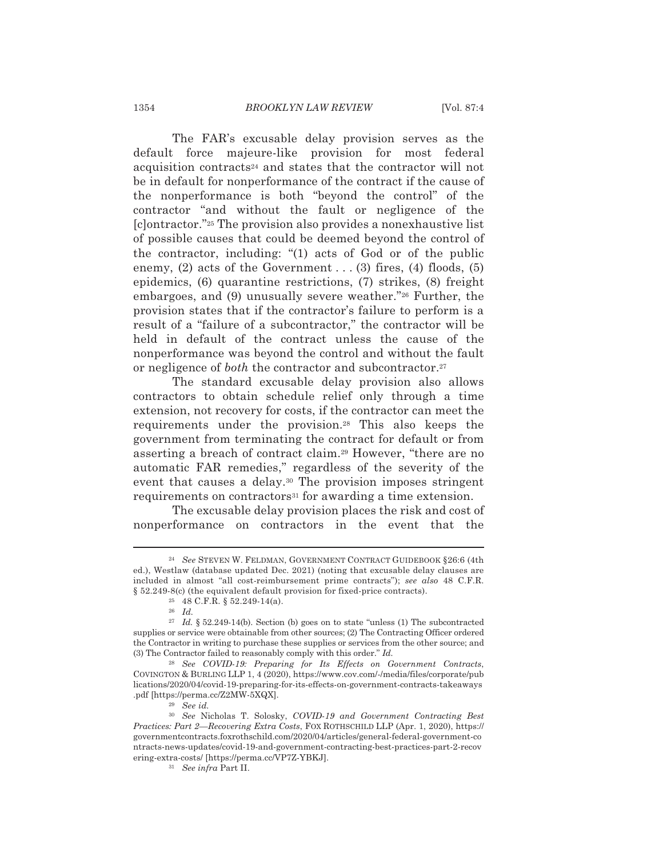The FAR's excusable delay provision serves as the default force majeure-like provision for most federal acquisition contracts<sup>24</sup> and states that the contractor will not be in default for nonperformance of the contract if the cause of the nonperformance is both "beyond the control" of the contractor "and without the fault or negligence of the [c] ontractor."<sup>25</sup> The provision also provides a nonexhaustive list of possible causes that could be deemed beyond the control of the contractor, including: "(1) acts of God or of the public enemy, (2) acts of the Government  $\dots$  (3) fires, (4) floods, (5) epidemics,  $(6)$  quarantine restrictions,  $(7)$  strikes,  $(8)$  freight embargoes, and (9) unusually severe weather."26 Further, the provision states that if the contractor's failure to perform is a result of a "failure of a subcontractor," the contractor will be held in default of the contract unless the cause of the nonperformance was beyond the control and without the fault or negligence of both the contractor and subcontractor.<sup>27</sup>

The standard excusable delay provision also allows contractors to obtain schedule relief only through a time extension, not recovery for costs, if the contractor can meet the requirements under the provision.<sup>28</sup> This also keeps the government from terminating the contract for default or from asserting a breach of contract claim.<sup>29</sup> However, "there are no automatic FAR remedies," regardless of the severity of the event that causes a delay.<sup>30</sup> The provision imposes stringent requirements on contractors<sup>31</sup> for awarding a time extension.

The excusable delay provision places the risk and cost of nonperformance on contractors in the event that the

<sup>&</sup>lt;sup>24</sup> See STEVEN W. FELDMAN, GOVERNMENT CONTRACT GUIDEBOOK § 26:6 (4th ed.), Westlaw (database updated Dec. 2021) (noting that excusable delay clauses are included in almost "all cost-reimbursement prime contracts"); see also 48 C.F.R.  $\S$  52.249-8(c) (the equivalent default provision for fixed-price contracts).

 $25$  48 C.F.R. § 52.249-14(a).

 $26$  *Id.* 

<sup>&</sup>lt;sup>27</sup> Id. § 52.249-14(b). Section (b) goes on to state "unless (1) The subcontracted supplies or service were obtainable from other sources; (2) The Contracting Officer ordered the Contractor in writing to purchase these supplies or services from the other source; and (3) The Contractor failed to reasonably comply with this order."  $Id$ .

<sup>&</sup>lt;sup>28</sup> See COVID-19: Preparing for Its Effects on Government Contracts, COVINGTON & BURLING LLP 1, 4 (2020), https://www.cov.com/-/media/files/corporate/pub lications/2020/04/covid-19-preparing-for-its-effects-on-government-contracts-takeaways .pdf [https://perma.cc/Z2MW-5XQX].

 $29$  See id.

<sup>&</sup>lt;sup>30</sup> See Nicholas T. Solosky, COVID-19 and Government Contracting Best Practices: Part 2-Recovering Extra Costs, FOX ROTHSCHILD LLP (Apr. 1, 2020), https:// governmentcontracts.foxrothschild.com/2020/04/articles/general-federal-government-co ntracts-news-updates/covid-19-and-government-contracting-best-practices-part-2-recov ering-extra-costs/ [https://perma.cc/VP7Z-YBKJ].

<sup>&</sup>lt;sup>31</sup> See infra Part II.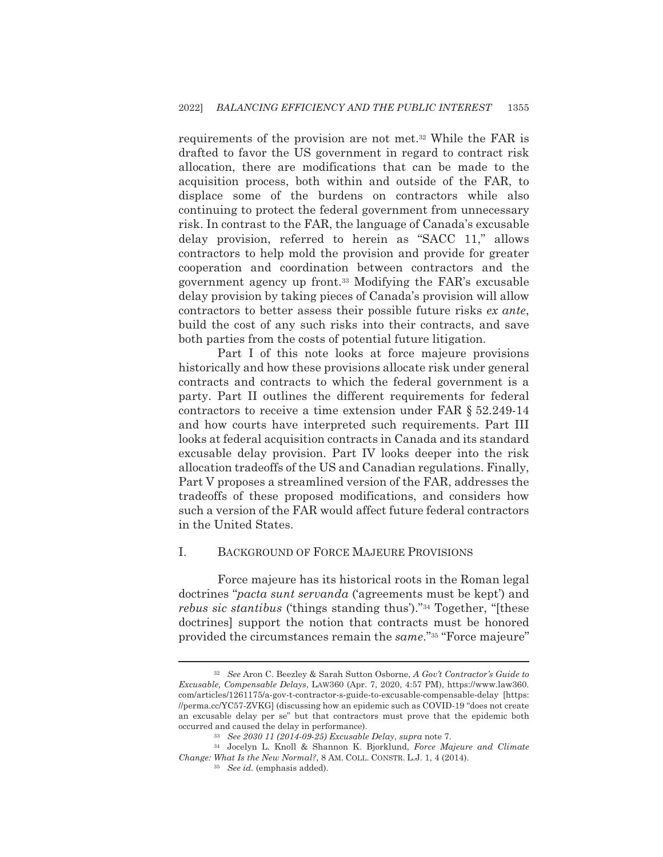requirements of the provision are not met.<sup>32</sup> While the FAR is drafted to favor the US government in regard to contract risk allocation, there are modifications that can be made to the acquisition process, both within and outside of the FAR, to displace some of the burdens on contractors while also continuing to protect the federal government from unnecessary risk. In contrast to the FAR, the language of Canada's excusable delay provision, referred to herein as "SACC 11," allows contractors to help mold the provision and provide for greater cooperation and coordination between contractors and the government agency up front.<sup>33</sup> Modifying the FAR's excusable delay provision by taking pieces of Canada's provision will allow contractors to better assess their possible future risks ex ante. build the cost of any such risks into their contracts, and save both parties from the costs of potential future litigation.

Part I of this note looks at force majeure provisions historically and how these provisions allocate risk under general contracts and contracts to which the federal government is a party. Part II outlines the different requirements for federal contractors to receive a time extension under FAR § 52.249-14 and how courts have interpreted such requirements. Part III looks at federal acquisition contracts in Canada and its standard excusable delay provision. Part IV looks deeper into the risk allocation tradeoffs of the US and Canadian regulations. Finally, Part V proposes a streamlined version of the FAR, addresses the tradeoffs of these proposed modifications, and considers how such a version of the FAR would affect future federal contractors in the United States.

### $\mathbf{I}$ **BACKGROUND OF FORCE MAJEURE PROVISIONS**

Force majeure has its historical roots in the Roman legal doctrines "*pacta sunt servanda* ('agreements must be kept') and *rebus sic stantibus* ('things standing thus')."<sup>34</sup> Together, "[these doctrines support the notion that contracts must be honored provided the circumstances remain the same."35 "Force majeure"

<sup>&</sup>lt;sup>32</sup> See Aron C. Beezley & Sarah Sutton Osborne, A Gov't Contractor's Guide to Excusable, Compensable Delays, LAW360 (Apr. 7, 2020, 4:57 PM), https://www.law360. com/articles/1261175/a-gov-t-contractor-s-guide-to-excusable-compensable-delay [https: //perma.cc/YC57-ZVKG] (discussing how an epidemic such as COVID-19 "does not create an excusable delay per se" but that contractors must prove that the epidemic both occurred and caused the delay in performance).

<sup>33</sup> See 2030 11 (2014-09-25) Excusable Delay, supra note 7.

<sup>&</sup>lt;sup>34</sup> Jocelyn L. Knoll & Shannon K. Bjorklund, Force Majeure and Climate Change: What Is the New Normal?, 8 AM. COLL. CONSTR. L.J. 1, 4 (2014).

<sup>&</sup>lt;sup>35</sup> See id. (emphasis added).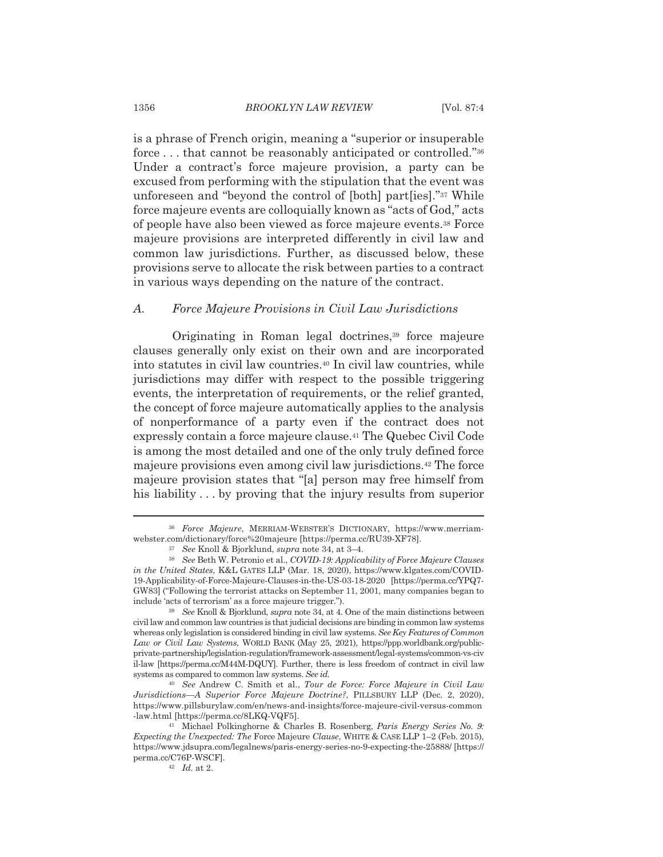is a phrase of French origin, meaning a "superior or insuperable" force ... that cannot be reasonably anticipated or controlled."36 Under a contract's force majeure provision, a party can be excused from performing with the stipulation that the event was unforeseen and "beyond the control of [both] part[ies]."37 While force majeure events are colloquially known as "acts of God," acts of people have also been viewed as force majeure events.<sup>38</sup> Force majeure provisions are interpreted differently in civil law and common law jurisdictions. Further, as discussed below, these provisions serve to allocate the risk between parties to a contract in various ways depending on the nature of the contract.

## Force Majeure Provisions in Civil Law Jurisdictions А.

Originating in Roman legal doctrines,<sup>39</sup> force majeure clauses generally only exist on their own and are incorporated into statutes in civil law countries.<sup>40</sup> In civil law countries, while jurisdictions may differ with respect to the possible triggering events, the interpretation of requirements, or the relief granted, the concept of force majeure automatically applies to the analysis of nonperformance of a party even if the contract does not expressly contain a force majeure clause.<sup>41</sup> The Quebec Civil Code is among the most detailed and one of the only truly defined force majeure provisions even among civil law jurisdictions.<sup>42</sup> The force majeure provision states that "[a] person may free himself from his liability... by proving that the injury results from superior

<sup>&</sup>lt;sup>36</sup> Force Majeure, MERRIAM-WEBSTER'S DICTIONARY, https://www.merriamwebster.com/dictionary/force%20majeure [https://perma.cc/RU39-XF78].

<sup>&</sup>lt;sup>37</sup> See Knoll & Bjorklund, *supra* note 34, at 3-4.

<sup>38</sup> See Beth W. Petronio et al., COVID-19: Applicability of Force Majeure Clauses in the United States, K&L GATES LLP (Mar. 18, 2020), https://www.klgates.com/COVID-19-Applicability-of-Force-Majeure-Clauses-in-the-US-03-18-2020 [https://perma.cc/YPQ7-GW83] ("Following the terrorist attacks on September 11, 2001, many companies began to include 'acts of terrorism' as a force majeure trigger.").

<sup>&</sup>lt;sup>39</sup> See Knoll & Bjorklund, *supra* note 34, at 4. One of the main distinctions between civil law and common law countries is that judicial decisions are binding in common law systems whereas only legislation is considered binding in civil law systems. See Key Features of Common Law or Civil Law Systems, WORLD BANK (May 25, 2021), https://ppp.worldbank.org/publicprivate-partnership/legislation-regulation/framework-assessment/legal-systems/common-vs-civ il-law [https://perma.cc/M44M-DQUY]. Further, there is less freedom of contract in civil law systems as compared to common law systems. See id.

<sup>&</sup>lt;sup>40</sup> See Andrew C. Smith et al., Tour de Force: Force Majeure in Civil Law Jurisdictions—A Superior Force Majeure Doctrine?, PILLSBURY LLP (Dec. 2, 2020), https://www.pillsburylaw.com/en/news-and-insights/force-majeure-civil-versus-common -law.html [https://perma.cc/8LKQ-VQF5].

<sup>&</sup>lt;sup>41</sup> Michael Polkinghorne & Charles B. Rosenberg, Paris Energy Series No. 9: *Expecting the Unexpected: The Force Majeure Clause, WHITE & CASE LLP 1-2 (Feb. 2015),* https://www.jdsupra.com/legalnews/paris-energy-series-no-9-expecting-the-25888/ [https:// perma.cc/C76P-WSCF].

 $42$  *Id.* at 2.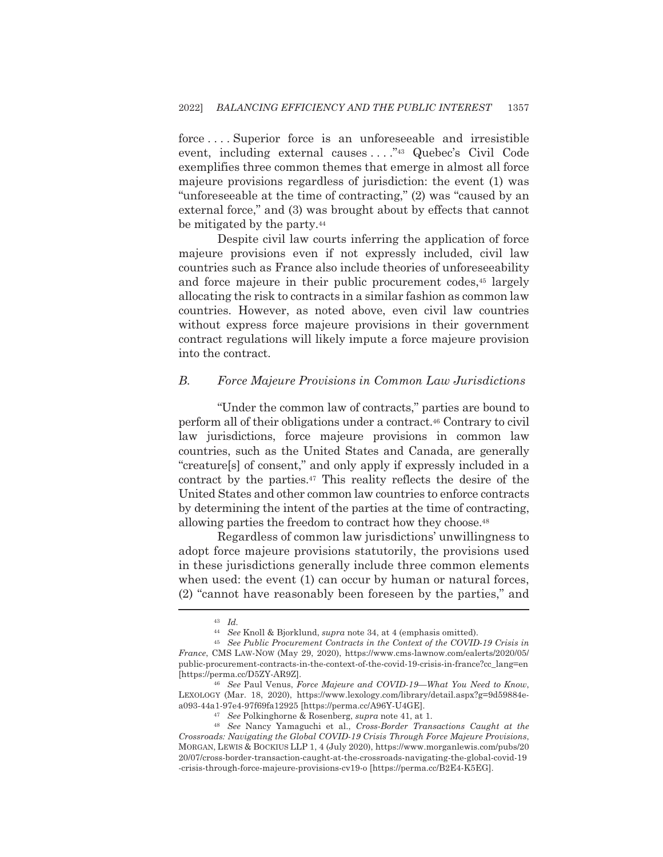force....Superior force is an unforeseeable and irresistible event, including external causes ...."<sup>43</sup> Quebec's Civil Code exemplifies three common themes that emerge in almost all force majeure provisions regardless of jurisdiction: the event (1) was "unforeseeable at the time of contracting," (2) was "caused by an external force," and (3) was brought about by effects that cannot be mitigated by the party.<sup>44</sup>

Despite civil law courts inferring the application of force majeure provisions even if not expressly included, civil law countries such as France also include theories of unforeseeability and force majeure in their public procurement codes,<sup>45</sup> largely allocating the risk to contracts in a similar fashion as common law countries. However, as noted above, even civil law countries without express force majeure provisions in their government contract regulations will likely impute a force majeure provision into the contract.

## $B<sub>1</sub>$ Force Majeure Provisions in Common Law Jurisdictions

"Under the common law of contracts," parties are bound to perform all of their obligations under a contract.<sup>46</sup> Contrary to civil law jurisdictions, force majeure provisions in common law countries, such as the United States and Canada, are generally "creature[s] of consent," and only apply if expressly included in a contract by the parties.<sup>47</sup> This reality reflects the desire of the United States and other common law countries to enforce contracts by determining the intent of the parties at the time of contracting. allowing parties the freedom to contract how they choose.<sup>48</sup>

Regardless of common law jurisdictions' unwillingness to adopt force majeure provisions statutorily, the provisions used in these jurisdictions generally include three common elements when used: the event (1) can occur by human or natural forces, (2) "cannot have reasonably been foreseen by the parties," and

 $43$  *Id.* 

<sup>&</sup>lt;sup>44</sup> See Knoll & Bjorklund, *supra* note 34, at 4 (emphasis omitted).

<sup>&</sup>lt;sup>45</sup> See Public Procurement Contracts in the Context of the COVID-19 Crisis in France, CMS LAW-NOW (May 29, 2020), https://www.cms-lawnow.com/ealerts/2020/05/ public-procurement-contracts-in-the-context-of-the-covid-19-crisis-in-france?cc\_lang=en [https://perma.cc/D5ZY-AR9Z].

<sup>&</sup>lt;sup>46</sup> See Paul Venus, Force Majeure and COVID-19-What You Need to Know, LEXOLOGY (Mar. 18, 2020), https://www.lexology.com/library/detail.aspx?g=9d59884ea093-44a1-97e4-97f69fa12925 [https://perma.cc/A96Y-U4GE].

<sup>&</sup>lt;sup>47</sup> See Polkinghorne & Rosenberg, supra note 41, at 1.

<sup>&</sup>lt;sup>48</sup> See Nancy Yamaguchi et al., Cross-Border Transactions Caught at the Crossroads: Navigating the Global COVID-19 Crisis Through Force Majeure Provisions, MORGAN, LEWIS & BOCKIUS LLP 1, 4 (July 2020), https://www.morganlewis.com/pubs/20 20/07/cross-border-transaction-caught-at-the-crossroads-navigating-the-global-covid-19 -crisis-through-force-majeure-provisions-cv19-o [https://perma.cc/B2E4-K5EG].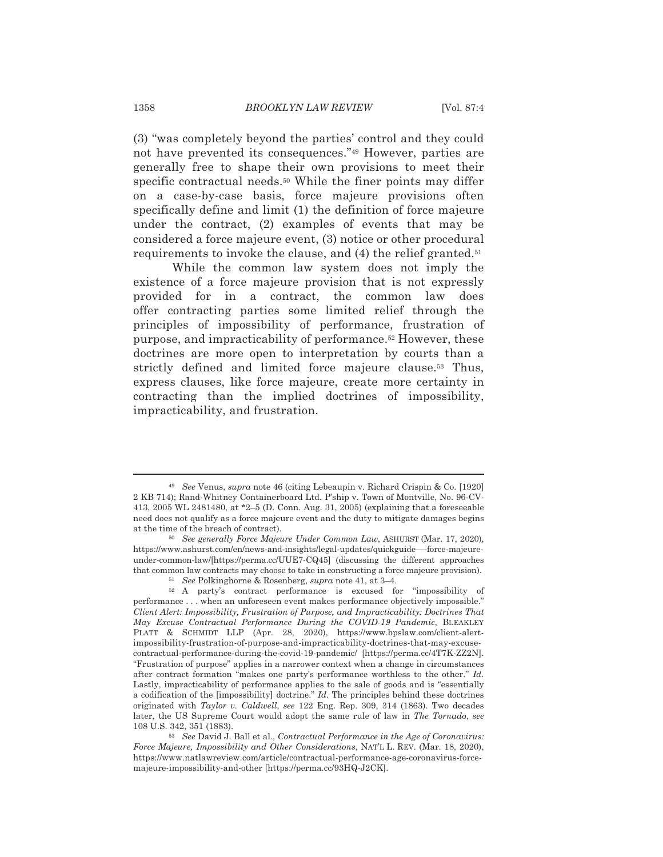(3) "was completely beyond the parties' control and they could not have prevented its consequences."<sup>49</sup> However, parties are generally free to shape their own provisions to meet their specific contractual needs.<sup>50</sup> While the finer points may differ on a case-by-case basis, force majeure provisions often specifically define and limit (1) the definition of force majeure under the contract, (2) examples of events that may be considered a force majeure event, (3) notice or other procedural requirements to invoke the clause, and (4) the relief granted.<sup>51</sup>

While the common law system does not imply the existence of a force majeure provision that is not expressly provided for in a contract, the common law does offer contracting parties some limited relief through the principles of impossibility of performance, frustration of purpose, and impracticability of performance.<sup>52</sup> However, these doctrines are more open to interpretation by courts than a strictly defined and limited force majeure clause.<sup>53</sup> Thus, express clauses, like force majeure, create more certainty in contracting than the implied doctrines of impossibility, impracticability, and frustration.

<sup>&</sup>lt;sup>49</sup> See Venus, supra note 46 (citing Lebeaupin v. Richard Crispin & Co. [1920] 2 KB 714); Rand-Whitney Containerboard Ltd. P'ship v. Town of Montville, No. 96-CV-413, 2005 WL 2481480, at  $*2-5$  (D. Conn. Aug. 31, 2005) (explaining that a foreseeable need does not qualify as a force majeure event and the duty to mitigate damages begins at the time of the breach of contract).

<sup>&</sup>lt;sup>50</sup> See generally Force Majeure Under Common Law, ASHURST (Mar. 17, 2020), https://www.ashurst.com/en/news-and-insights/legal-updates/quickguide—force-majeureunder-common-law/[https://perma.cc/UUE7-CQ45] (discussing the different approaches that common law contracts may choose to take in constructing a force majeure provision). <sup>51</sup> See Polkinghorne & Rosenberg, supra note 41, at 3-4.

<sup>&</sup>lt;sup>52</sup> A party's contract performance is excused for "impossibility of performance . . . when an unforeseen event makes performance objectively impossible." Client Alert: Impossibility, Frustration of Purpose, and Impracticability: Doctrines That May Excuse Contractual Performance During the COVID-19 Pandemic, BLEAKLEY PLATT & SCHMIDT LLP (Apr. 28, 2020), https://www.bpslaw.com/client-alertimpossibility-frustration-of-purpose-and-impracticability-doctrines-that-may-excusecontractual-performance-during-the-covid-19-pandemic/ [https://perma.cc/4T7K-ZZ2N]. "Frustration of purpose" applies in a narrower context when a change in circumstances after contract formation "makes one party's performance worthless to the other." Id. Lastly, impracticability of performance applies to the sale of goods and is "essentially a codification of the [impossibility] doctrine."  $Id$ . The principles behind these doctrines originated with Taylor v. Caldwell, see 122 Eng. Rep. 309, 314 (1863). Two decades later, the US Supreme Court would adopt the same rule of law in The Tornado, see 108 U.S. 342, 351 (1883).

<sup>53</sup> See David J. Ball et al., Contractual Performance in the Age of Coronavirus: Force Majeure, Impossibility and Other Considerations, NAT'L L. REV. (Mar. 18, 2020), https://www.natlawreview.com/article/contractual-performance-age-coronavirus-forcemajeure-impossibility-and-other [https://perma.cc/93HQ-J2CK].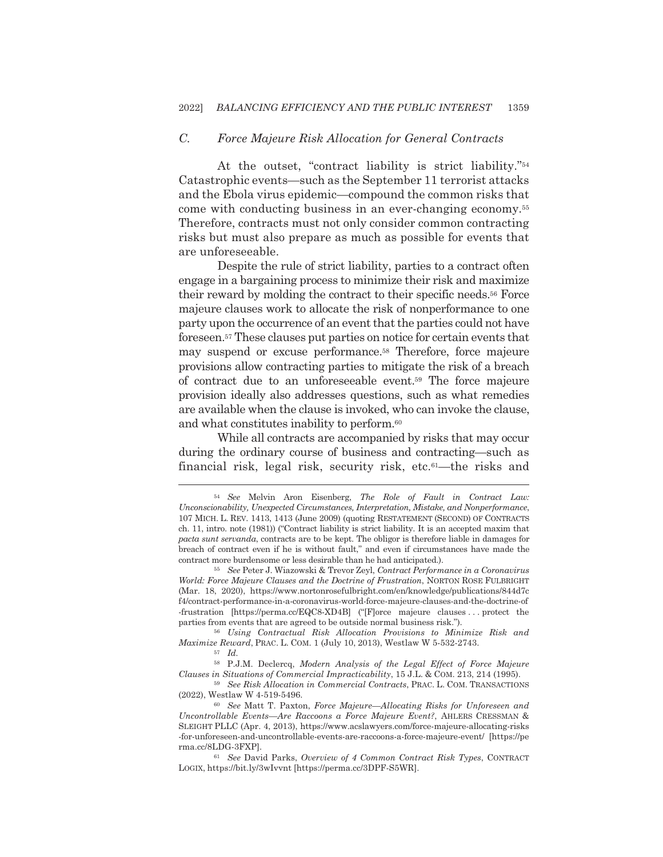### $C_{\cdot}$ Force Majeure Risk Allocation for General Contracts

At the outset, "contract liability is strict liability."<sup>54</sup> Catastrophic events—such as the September 11 terrorist attacks and the Ebola virus epidemic—compound the common risks that come with conducting business in an ever-changing economy.<sup>55</sup> Therefore, contracts must not only consider common contracting risks but must also prepare as much as possible for events that are unforeseeable.

Despite the rule of strict liability, parties to a contract often engage in a bargaining process to minimize their risk and maximize their reward by molding the contract to their specific needs.<sup>56</sup> Force majeure clauses work to allocate the risk of nonperformance to one party upon the occurrence of an event that the parties could not have foreseen.<sup>57</sup> These clauses put parties on notice for certain events that may suspend or excuse performance.<sup>58</sup> Therefore, force majeure provisions allow contracting parties to mitigate the risk of a breach of contract due to an unforeseeable event.<sup>59</sup> The force majeure provision ideally also addresses questions, such as what remedies are available when the clause is invoked, who can invoke the clause, and what constitutes inability to perform.<sup>60</sup>

While all contracts are accompanied by risks that may occur during the ordinary course of business and contracting—such as financial risk, legal risk, security risk, etc.<sup>61</sup>—the risks and

<sup>56</sup> Using Contractual Risk Allocation Provisions to Minimize Risk and Maximize Reward, PRAC. L. COM. 1 (July 10, 2013), Westlaw W 5-532-2743.

59 See Risk Allocation in Commercial Contracts, PRAC. L. COM. TRANSACTIONS (2022), Westlaw W 4-519-5496.

<sup>54</sup> See Melvin Aron Eisenberg, The Role of Fault in Contract Law: Unconscionability, Unexpected Circumstances, Interpretation, Mistake, and Nonperformance, 107 MICH. L. REV. 1413, 1413 (June 2009) (quoting RESTATEMENT (SECOND) OF CONTRACTS ch. 11, intro. note (1981)) ("Contract liability is strict liability. It is an accepted maxim that pacta sunt servanda, contracts are to be kept. The obligor is therefore liable in damages for breach of contract even if he is without fault," and even if circumstances have made the contract more burdensome or less desirable than he had anticipated.).

<sup>&</sup>lt;sup>55</sup> See Peter J. Wiazowski & Trevor Zeyl, Contract Performance in a Coronavirus World: Force Majeure Clauses and the Doctrine of Frustration, NORTON ROSE FULBRIGHT (Mar. 18, 2020), https://www.nortonrosefulbright.com/en/knowledge/publications/844d7c f4/contract-performance-in-a-coronavirus-world-force-majeure-clauses-and-the-doctrine-of -frustration [https://perma.cc/EQC8-XD4B] ("[F]orce majeure clauses ... protect the parties from events that are agreed to be outside normal business risk.").

 $57$  *Id.* 

<sup>&</sup>lt;sup>58</sup> P.J.M. Declercq, Modern Analysis of the Legal Effect of Force Majeure Clauses in Situations of Commercial Impracticability, 15 J.L. & COM. 213, 214 (1995).

<sup>&</sup>lt;sup>60</sup> See Matt T. Paxton, Force Majeure—Allocating Risks for Unforeseen and Uncontrollable Events—Are Raccoons a Force Majeure Event?, AHLERS CRESSMAN & SLEIGHT PLLC (Apr. 4, 2013), https://www.acslawyers.com/force-majeure-allocating-risks -for-unforeseen-and-uncontrollable-events-are-raccoons-a-force-majeure-event/ [https://pe rma.cc/8LDG-3FXP].

<sup>&</sup>lt;sup>61</sup> See David Parks, Overview of 4 Common Contract Risk Types, CONTRACT LOGIX, https://bit.ly/3wIvvnt [https://perma.cc/3DPF-S5WR].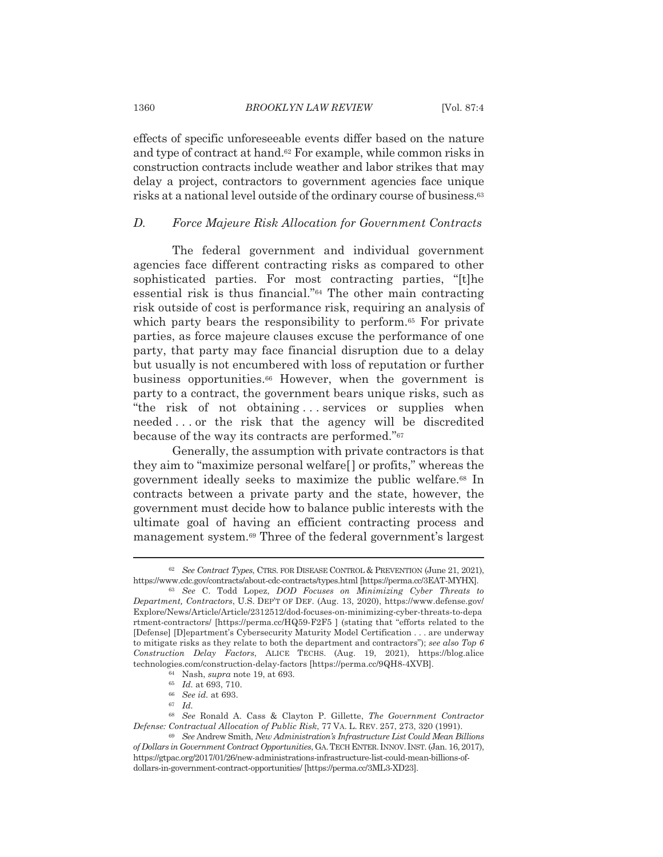effects of specific unforeseeable events differ based on the nature and type of contract at hand.<sup>62</sup> For example, while common risks in construction contracts include weather and labor strikes that may delay a project, contractors to government agencies face unique risks at a national level outside of the ordinary course of business.<sup>63</sup>

#### $D_{\cdot}$ Force Majeure Risk Allocation for Government Contracts

The federal government and individual government agencies face different contracting risks as compared to other sophisticated parties. For most contracting parties, "[t]he essential risk is thus financial."<sup>64</sup> The other main contracting risk outside of cost is performance risk, requiring an analysis of which party bears the responsibility to perform.<sup>65</sup> For private parties, as force majeure clauses excuse the performance of one party, that party may face financial disruption due to a delay but usually is not encumbered with loss of reputation or further business opportunities.<sup>66</sup> However, when the government is party to a contract, the government bears unique risks, such as "the risk of not obtaining...services or supplies when needed...or the risk that the agency will be discredited because of the way its contracts are performed."<sup>67</sup>

Generally, the assumption with private contractors is that they aim to "maximize personal welfare" or profits," whereas the government ideally seeks to maximize the public welfare.<sup>68</sup> In contracts between a private party and the state, however, the government must decide how to balance public interests with the ultimate goal of having an efficient contracting process and management system.<sup>69</sup> Three of the federal government's largest

1360

<sup>62</sup> See Contract Types, CTRS. FOR DISEASE CONTROL & PREVENTION (June 21, 2021), https://www.cdc.gov/contracts/about-cdc-contracts/types.html [https://perma.cc/3EAT-MYHX].

<sup>63</sup> See C. Todd Lopez, DOD Focuses on Minimizing Cyber Threats to Department, Contractors, U.S. DEP'T OF DEF. (Aug. 13, 2020), https://www.defense.gov/ Explore/News/Article/Article/2312512/dod-focuses-on-minimizing-cyber-threats-to-depa rtment-contractors/ [https://perma.cc/HQ59-F2F5 ] (stating that "efforts related to the [Defense] [Dlepartment's Cybersecurity Maturity Model Certification . . . are underway to mitigate risks as they relate to both the department and contractors"); see also Top  $6$ Construction Delay Factors, ALICE TECHS. (Aug. 19, 2021), https://blog.alice technologies.com/construction-delay-factors [https://perma.cc/9QH8-4XVB].

<sup>&</sup>lt;sup>64</sup> Nash, *supra* note 19, at 693.

 $165$  *Id.* at 693, 710.

<sup>&</sup>lt;sup>66</sup> See id. at 693.

 $67$  Id.

<sup>&</sup>lt;sup>68</sup> See Ronald A. Cass & Clayton P. Gillette, *The Government Contractor* Defense: Contractual Allocation of Public Risk, 77 VA. L. REV. 257, 273, 320 (1991).

<sup>&</sup>lt;sup>69</sup> See Andrew Smith, New Administration's Infrastructure List Could Mean Billions of Dollars in Government Contract Opportunities, GA. TECH ENTER. INNOV. INST. (Jan. 16, 2017), https://gtpac.org/2017/01/26/new-administrations-infrastructure-list-could-mean-billions-ofdollars-in-government-contract-opportunities/ [https://perma.cc/3ML3-XD23].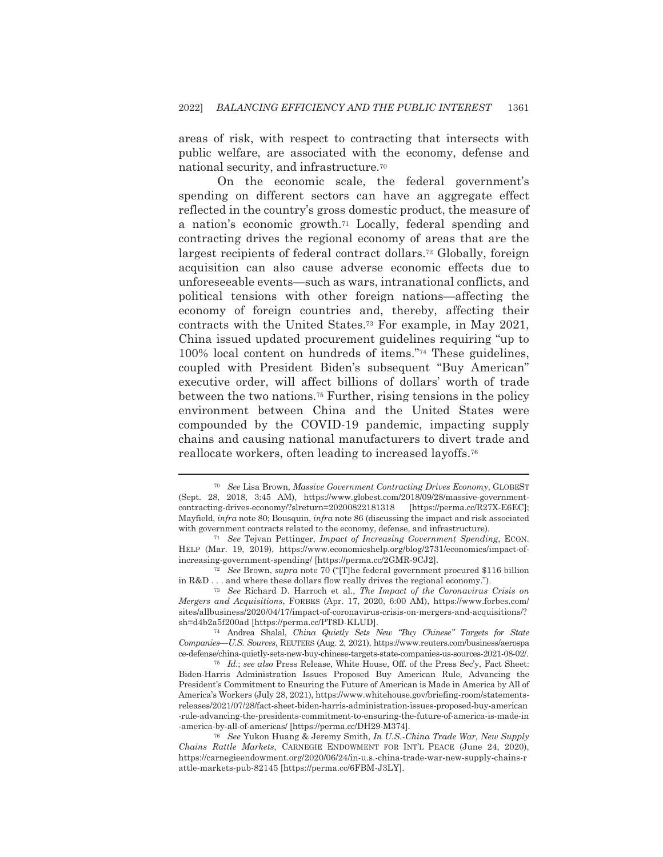areas of risk, with respect to contracting that intersects with public welfare, are associated with the economy, defense and national security, and infrastructure.<sup>70</sup>

On the economic scale, the federal government's spending on different sectors can have an aggregate effect reflected in the country's gross domestic product, the measure of a nation's economic growth.<sup>71</sup> Locally, federal spending and contracting drives the regional economy of areas that are the largest recipients of federal contract dollars.<sup>72</sup> Globally, foreign acquisition can also cause adverse economic effects due to unforeseeable events—such as wars, intranational conflicts, and political tensions with other foreign nations—affecting the economy of foreign countries and, thereby, affecting their contracts with the United States.<sup>73</sup> For example, in May 2021, China issued updated procurement guidelines requiring "up to 100% local content on hundreds of items."<sup>74</sup> These guidelines, coupled with President Biden's subsequent "Buy American" executive order, will affect billions of dollars' worth of trade between the two nations.<sup>75</sup> Further, rising tensions in the policy environment between China and the United States were compounded by the COVID-19 pandemic, impacting supply chains and causing national manufacturers to divert trade and reallocate workers, often leading to increased layoffs.<sup>76</sup>

<sup>&</sup>lt;sup>70</sup> See Lisa Brown, Massive Government Contracting Drives Economy, GLOBEST (Sept. 28, 2018, 3:45 AM), https://www.globest.com/2018/09/28/massive-governmentcontracting-drives-economy/?slreturn=20200822181318 [https://perma.cc/R27X-E6EC]; Mayfield, infra note 80; Bousquin, infra note 86 (discussing the impact and risk associated with government contracts related to the economy, defense, and infrastructure).

<sup>&</sup>lt;sup>71</sup> See Tejvan Pettinger, *Impact of Increasing Government Spending*, ECON. HELP (Mar. 19, 2019), https://www.economicshelp.org/blog/2731/economics/impact-ofincreasing-government-spending/ [https://perma.cc/2GMR-9CJ2].

 $72$  See Brown, supra note 70 ("T] he federal government procured \$116 billion in  $R&D \ldots$  and where these dollars flow really drives the regional economy.").

<sup>&</sup>lt;sup>73</sup> See Richard D. Harroch et al., *The Impact of the Coronavirus Crisis on* Mergers and Acquisitions, FORBES (Apr. 17, 2020, 6:00 AM), https://www.forbes.com/ sites/allbusiness/2020/04/17/impact-of-coronavirus-crisis-on-mergers-and-acquisitions/? sh=d4b2a5f200ad [https://perma.cc/PT8D-KLUD].

<sup>74</sup> Andrea Shalal, China Quietly Sets New "Buy Chinese" Targets for State Companies—U.S. Sources, REUTERS (Aug. 2, 2021), https://www.reuters.com/business/aerospa ce-defense/china-quietly-sets-new-buy-chinese-targets-state-companies-us-sources-2021-08-02/.

<sup>&</sup>lt;sup>75</sup> Id.; see also Press Release, White House, Off. of the Press Sec'y, Fact Sheet: Biden-Harris Administration Issues Proposed Buy American Rule, Advancing the President's Commitment to Ensuring the Future of American is Made in America by All of America's Workers (July 28, 2021), https://www.whitehouse.gov/briefing-room/statementsreleases/2021/07/28/fact-sheet-biden-harris-administration-issues-proposed-buy-american -rule-advancing-the-presidents-commitment-to-ensuring-the-future-of-america-is-made-in -america-by-all-of-americas/ [https://perma.cc/DH29-M374].

<sup>&</sup>lt;sup>76</sup> See Yukon Huang & Jeremy Smith, *In U.S.-China Trade War*, *New Supply* Chains Rattle Markets, CARNEGIE ENDOWMENT FOR INT'L PEACE (June 24, 2020), https://carnegieendowment.org/2020/06/24/in-u.s.-china-trade-war-new-supply-chains-r attle-markets-pub-82145 [https://perma.cc/6FBM-J3LY].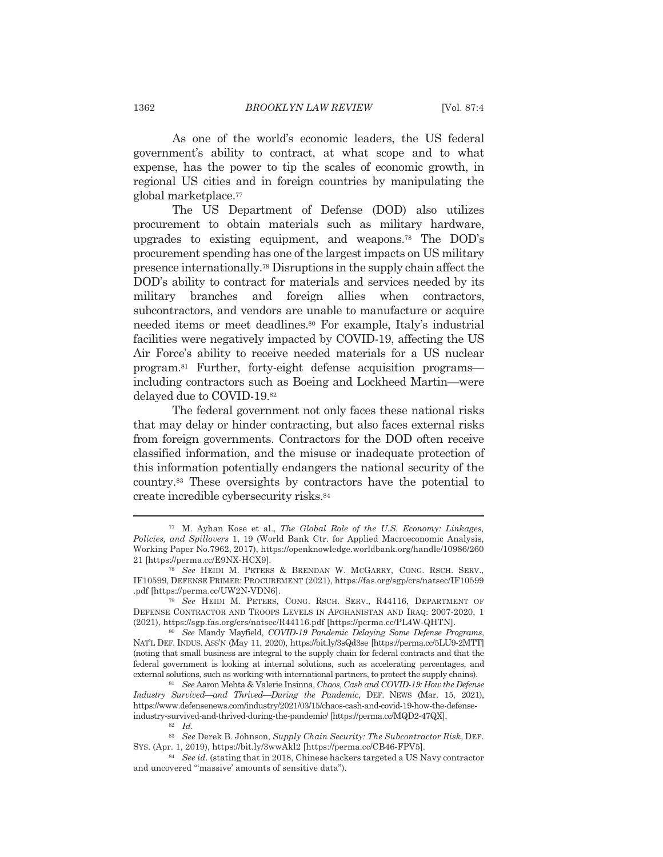As one of the world's economic leaders, the US federal government's ability to contract, at what scope and to what expense, has the power to tip the scales of economic growth, in regional US cities and in foreign countries by manipulating the global marketplace.<sup>77</sup>

The US Department of Defense (DOD) also utilizes procurement to obtain materials such as military hardware, upgrades to existing equipment, and weapons.<sup>78</sup> The DOD's procurement spending has one of the largest impacts on US military presence internationally.<sup>79</sup> Disruptions in the supply chain affect the DOD's ability to contract for materials and services needed by its military branches and foreign allies when contractors, subcontractors, and vendors are unable to manufacture or acquire needed items or meet deadlines.<sup>80</sup> For example, Italy's industrial facilities were negatively impacted by COVID-19, affecting the US Air Force's ability to receive needed materials for a US nuclear program.<sup>81</sup> Further, forty-eight defense acquisition programs including contractors such as Boeing and Lockheed Martin—were delayed due to COVID-19.82

The federal government not only faces these national risks that may delay or hinder contracting, but also faces external risks from foreign governments. Contractors for the DOD often receive classified information, and the misuse or inadequate protection of this information potentially endangers the national security of the country.<sup>83</sup> These oversights by contractors have the potential to create incredible cybersecurity risks.<sup>84</sup>

<sup>&</sup>lt;sup>77</sup> M. Ayhan Kose et al., *The Global Role of the U.S. Economy: Linkages*, Policies, and Spillovers 1, 19 (World Bank Ctr. for Applied Macroeconomic Analysis, Working Paper No.7962, 2017), https://openknowledge.worldbank.org/handle/10986/260 21 [https://perma.cc/E9NX-HCX9].

<sup>78</sup> See HEIDI M. PETERS & BRENDAN W. MCGARRY, CONG. RSCH. SERV., IF10599, DEFENSE PRIMER: PROCUREMENT (2021), https://fas.org/sgp/crs/natsec/IF10599 .pdf [https://perma.cc/UW2N-VDN6].

<sup>79</sup> See HEIDI M. PETERS, CONG. RSCH. SERV., R44116, DEPARTMENT OF DEFENSE CONTRACTOR AND TROOPS LEVELS IN AFGHANISTAN AND IRAQ: 2007-2020, 1 (2021), https://sgp.fas.org/crs/natsec/R44116.pdf [https://perma.cc/PL4W-QHTN].

<sup>&</sup>lt;sup>80</sup> See Mandy Mayfield, COVID-19 Pandemic Delaying Some Defense Programs, NAT'L DEF. INDUS. ASS'N (May 11, 2020), https://bit.ly/3sQd3se [https://perma.cc/5LU9-2MTT] (noting that small business are integral to the supply chain for federal contracts and that the federal government is looking at internal solutions, such as accelerating percentages, and external solutions, such as working with international partners, to protect the supply chains).

<sup>81</sup> See Aaron Mehta & Valerie Insinna, Chaos, Cash and COVID-19: How the Defense Industry Survived—and Thrived—During the Pandemic, DEF. NEWS (Mar. 15, 2021), https://www.defensenews.com/industry/2021/03/15/chaos-cash-and-covid-19-how-the-defenseindustry-survived-and-thrived-during-the-pandemic/ [https://perma.cc/MQD2-47QX].

<sup>82</sup> Id.

<sup>83</sup> See Derek B. Johnson, Supply Chain Security: The Subcontractor Risk, DEF. SYS. (Apr. 1, 2019), https://bit.ly/3wwAkl2 [https://perma.cc/CB46-FPV5].

<sup>&</sup>lt;sup>84</sup> See id. (stating that in 2018, Chinese hackers targeted a US Navy contractor and uncovered "massive' amounts of sensitive data").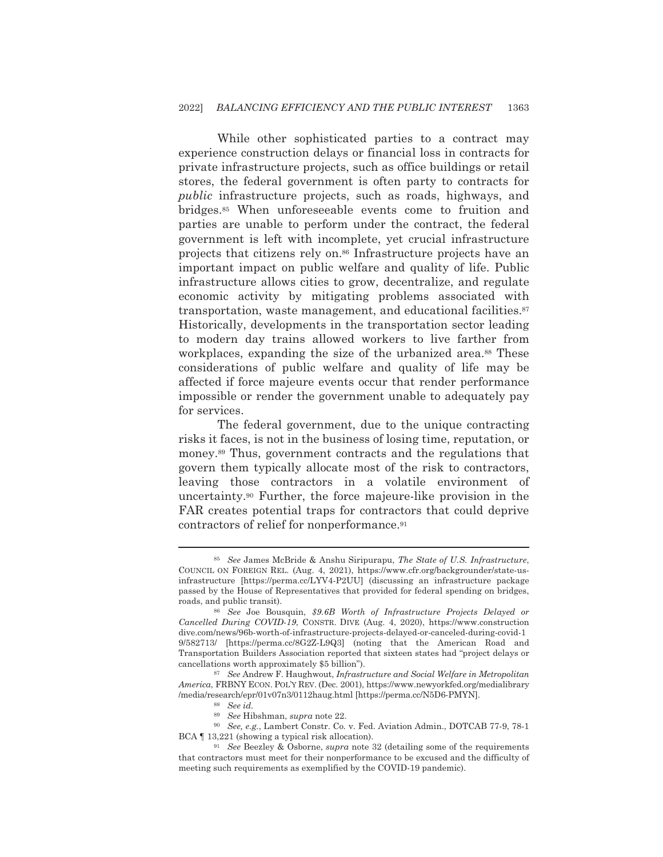While other sophisticated parties to a contract may experience construction delays or financial loss in contracts for private infrastructure projects, such as office buildings or retail stores, the federal government is often party to contracts for *public* infrastructure projects, such as roads, highways, and bridges.<sup>85</sup> When unforeseeable events come to fruition and parties are unable to perform under the contract, the federal government is left with incomplete, yet crucial infrastructure projects that citizens rely on.<sup>86</sup> Infrastructure projects have an important impact on public welfare and quality of life. Public infrastructure allows cities to grow, decentralize, and regulate economic activity by mitigating problems associated with transportation, waste management, and educational facilities.<sup>87</sup> Historically, developments in the transportation sector leading to modern day trains allowed workers to live farther from workplaces, expanding the size of the urbanized area.<sup>88</sup> These considerations of public welfare and quality of life may be affected if force majeure events occur that render performance impossible or render the government unable to adequately pay for services.

The federal government, due to the unique contracting risks it faces, is not in the business of losing time, reputation, or money.<sup>89</sup> Thus, government contracts and the regulations that govern them typically allocate most of the risk to contractors. leaving those contractors in a volatile environment of uncertainty.<sup>90</sup> Further, the force majeure-like provision in the FAR creates potential traps for contractors that could deprive contractors of relief for nonperformance.<sup>91</sup>

<sup>&</sup>lt;sup>85</sup> See James McBride & Anshu Siripurapu, The State of U.S. Infrastructure, COUNCIL ON FOREIGN REL. (Aug. 4, 2021), https://www.cfr.org/backgrounder/state-usinfrastructure [https://perma.cc/LYV4-P2UU] (discussing an infrastructure package passed by the House of Representatives that provided for federal spending on bridges, roads, and public transit).

See Joe Bousquin, \$9.6B Worth of Infrastructure Projects Delayed or Cancelled During COVID-19, CONSTR. DIVE (Aug. 4, 2020), https://www.construction dive.com/news/96b-worth-of-infrastructure-projects-delayed-or-canceled-during-covid-1 9/582713/ [https://perma.cc/8G2Z-L9Q3] (noting that the American Road and Transportation Builders Association reported that sixteen states had "project delays or cancellations worth approximately \$5 billion").

<sup>87</sup> See Andrew F. Haughwout, Infrastructure and Social Welfare in Metropolitan America, FRBNY ECON. POL'Y REV. (Dec. 2001), https://www.newyorkfed.org/medialibrary /media/research/epr/01v07n3/0112haug.html [https://perma.cc/N5D6-PMYN].

 $88$  See id.

<sup>&</sup>lt;sup>89</sup> See Hibshman, supra note 22.

<sup>&</sup>lt;sup>90</sup> See, e.g., Lambert Constr. Co. v. Fed. Aviation Admin., DOTCAB 77-9, 78-1 BCA [13,221 (showing a typical risk allocation).

 $91$  See Beezley & Osborne, supra note 32 (detailing some of the requirements that contractors must meet for their nonperformance to be excused and the difficulty of meeting such requirements as exemplified by the COVID-19 pandemic).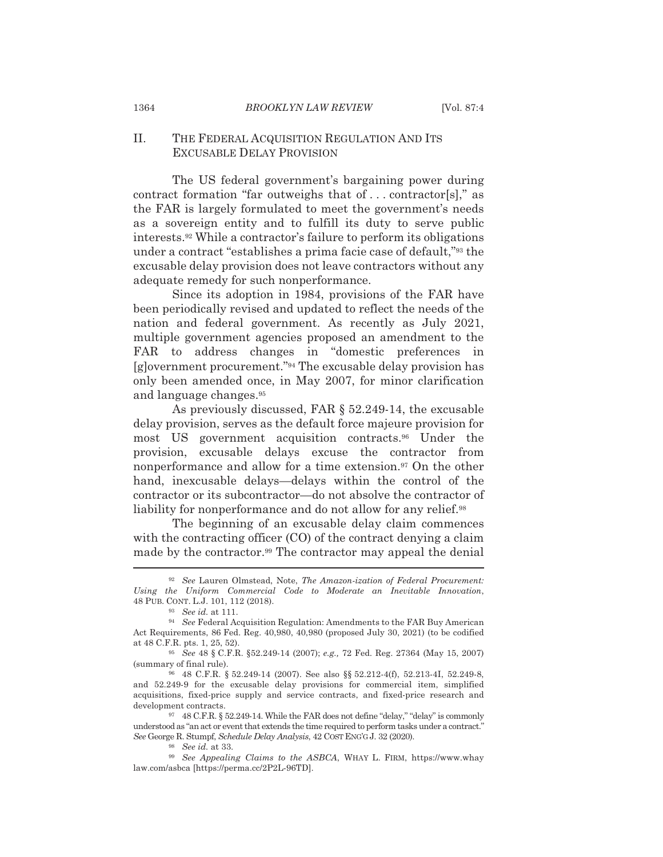## II. THE FEDERAL ACQUISITION REGULATION AND ITS **EXCUSABLE DELAY PROVISION**

The US federal government's bargaining power during contract formation "far outweighs that of ... contractor[s]," as the FAR is largely formulated to meet the government's needs as a sovereign entity and to fulfill its duty to serve public interests.<sup>92</sup> While a contractor's failure to perform its obligations under a contract "establishes a prima facie case of default,"<sup>93</sup> the excusable delay provision does not leave contractors without any adequate remedy for such nonperformance.

Since its adoption in 1984, provisions of the FAR have been periodically revised and updated to reflect the needs of the nation and federal government. As recently as July 2021, multiple government agencies proposed an amendment to the FAR to address changes in "domestic preferences in [g]overnment procurement."<sup>94</sup> The excusable delay provision has only been amended once, in May 2007, for minor clarification and language changes.<sup>95</sup>

As previously discussed, FAR  $\S$  52.249-14, the excusable delay provision, serves as the default force majeure provision for most US government acquisition contracts.<sup>96</sup> Under the provision, excusable delays excuse the contractor from nonperformance and allow for a time extension.<sup>97</sup> On the other hand, inexcusable delays—delays within the control of the contractor or its subcontractor-do not absolve the contractor of liability for nonperformance and do not allow for any relief.<sup>98</sup>

The beginning of an excusable delay claim commences with the contracting officer (CO) of the contract denying a claim made by the contractor.<sup>99</sup> The contractor may appeal the denial

1364

<sup>&</sup>lt;sup>92</sup> See Lauren Olmstead. Note. The Amazon-ization of Federal Procurement: Using the Uniform Commercial Code to Moderate an Inevitable Innovation, 48 PUB. CONT. L.J. 101, 112 (2018).

<sup>93</sup> See id. at 111.

<sup>94</sup> See Federal Acquisition Regulation: Amendments to the FAR Buy American Act Requirements, 86 Fed. Reg. 40,980, 40,980 (proposed July 30, 2021) (to be codified at 48 C.F.R. pts. 1, 25, 52).

<sup>&</sup>lt;sup>95</sup> See 48 § C.F.R. §52.249-14 (2007); e.g., 72 Fed. Reg. 27364 (May 15, 2007) (summary of final rule).

<sup>96 48</sup> C.F.R. § 52.249-14 (2007). See also §§ 52.212-4(f), 52.213-4I, 52.249-8, and 52.249-9 for the excusable delay provisions for commercial item, simplified acquisitions, fixed-price supply and service contracts, and fixed-price research and development contracts.

<sup>97 48</sup> C.F.R. § 52.249-14. While the FAR does not define "delay," "delay" is commonly understood as "an act or event that extends the time required to perform tasks under a contract." See George R. Stumpf, Schedule Delay Analysis, 42 COST ENG'G J. 32 (2020).

 $98$  See id at 33

<sup>99</sup> See Appealing Claims to the ASBCA, WHAY L. FIRM, https://www.whay law.com/asbca [https://perma.cc/2P2L-96TD].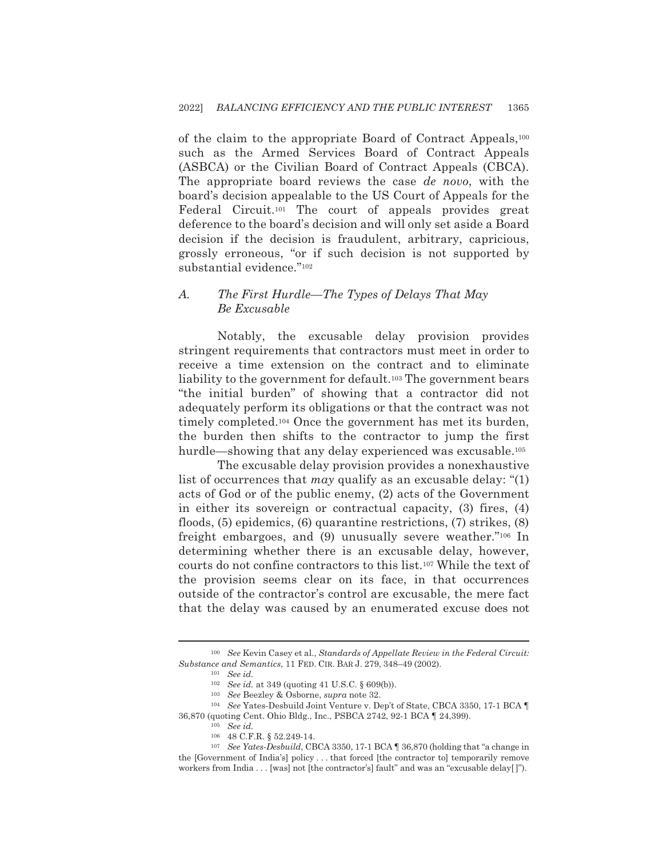of the claim to the appropriate Board of Contract Appeals,<sup>100</sup> such as the Armed Services Board of Contract Appeals (ASBCA) or the Civilian Board of Contract Appeals (CBCA). The appropriate board reviews the case de novo, with the board's decision appealable to the US Court of Appeals for the Federal Circuit.<sup>101</sup> The court of appeals provides great deference to the board's decision and will only set aside a Board decision if the decision is fraudulent, arbitrary, capricious, grossly erroneous, "or if such decision is not supported by substantial evidence."102

## $\overline{A}$ . The First Hurdle—The Types of Delays That May Be Excusable

Notably, the excusable delay provision provides stringent requirements that contractors must meet in order to receive a time extension on the contract and to eliminate liability to the government for default.<sup>103</sup> The government bears "the initial burden" of showing that a contractor did not adequately perform its obligations or that the contract was not timely completed.<sup>104</sup> Once the government has met its burden, the burden then shifts to the contractor to jump the first hurdle—showing that any delay experienced was excusable.<sup>105</sup>

The excusable delay provision provides a nonexhaustive list of occurrences that *may* qualify as an excusable delay: " $(1)$ acts of God or of the public enemy, (2) acts of the Government in either its sovereign or contractual capacity, (3) fires, (4) floods,  $(5)$  epidemics,  $(6)$  quarantine restrictions,  $(7)$  strikes,  $(8)$ freight embargoes, and (9) unusually severe weather."<sup>106</sup> In determining whether there is an excusable delay, however, courts do not confine contractors to this list.<sup>107</sup> While the text of the provision seems clear on its face, in that occurrences outside of the contractor's control are excusable, the mere fact that the delay was caused by an enumerated excuse does not

<sup>&</sup>lt;sup>100</sup> See Kevin Casey et al., Standards of Appellate Review in the Federal Circuit: Substance and Semantics, 11 FED. CIR. BAR J. 279, 348-49 (2002).

 $101$  See id.

<sup>&</sup>lt;sup>102</sup> See id. at 349 (quoting 41 U.S.C. § 609(b)).

<sup>&</sup>lt;sup>103</sup> See Beezley & Osborne, *supra* note 32.

<sup>&</sup>lt;sup>104</sup> See Yates-Desbuild Joint Venture v. Dep't of State, CBCA 3350, 17-1 BCA ¶ 36,870 (quoting Cent. Ohio Bldg., Inc., PSBCA 2742, 92-1 BCA 1 24,399).

 $105$  See id.

<sup>106 48</sup> C.F.R. § 52.249-14.

<sup>&</sup>lt;sup>107</sup> See Yates-Desbuild, CBCA 3350, 17-1 BCA 1 36,870 (holding that "a change in the [Government of India's] policy ... that forced [the contractor to] temporarily remove workers from India . . . [was] not [the contractor's] fault" and was an "excusable delay[]").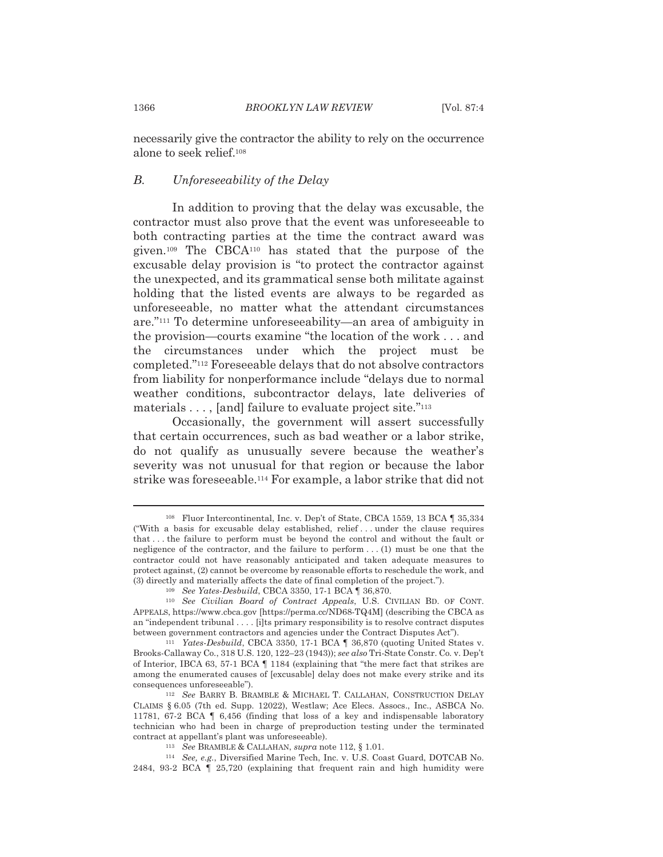necessarily give the contractor the ability to rely on the occurrence alone to seek relief.<sup>108</sup>

## Unforeseeability of the Delay  $B<sub>1</sub>$

In addition to proving that the delay was excusable, the contractor must also prove that the event was unforeseeable to both contracting parties at the time the contract award was given.<sup>109</sup> The CBCA<sup>110</sup> has stated that the purpose of the excusable delay provision is "to protect the contractor against the unexpected, and its grammatical sense both militate against holding that the listed events are always to be regarded as unforeseeable, no matter what the attendant circumstances are."<sup>111</sup> To determine unforeseeability—an area of ambiguity in the provision—courts examine "the location of the work . . . and the circumstances under which the project must be completed."<sup>112</sup> Foreseeable delays that do not absolve contractors from liability for nonperformance include "delays due to normal" weather conditions, subcontractor delays, late deliveries of materials  $\dots$ , [and] failure to evaluate project site."<sup>113</sup>

Occasionally, the government will assert successfully that certain occurrences, such as bad weather or a labor strike. do not qualify as unusually severe because the weather's severity was not unusual for that region or because the labor strike was foreseeable.<sup>114</sup> For example, a labor strike that did not

<sup>&</sup>lt;sup>108</sup> Fluor Intercontinental, Inc. v. Dep't of State, CBCA 1559, 13 BCA ¶ 35,334 ("With a basis for excusable delay established, relief...under the clause requires that ... the failure to perform must be beyond the control and without the fault or negligence of the contractor, and the failure to perform  $\dots$  (1) must be one that the contractor could not have reasonably anticipated and taken adequate measures to protect against, (2) cannot be overcome by reasonable efforts to reschedule the work, and (3) directly and materially affects the date of final completion of the project.").

<sup>&</sup>lt;sup>109</sup> See Yates-Desbuild, CBCA 3350, 17-1 BCA | 36,870.

<sup>&</sup>lt;sup>110</sup> See Civilian Board of Contract Appeals, U.S. CIVILIAN BD. OF CONT. APPEALS, https://www.cbca.gov [https://perma.cc/ND68-TQ4M] (describing the CBCA as an "independent tribunal.... [i]ts primary responsibility is to resolve contract disputes between government contractors and agencies under the Contract Disputes Act").

<sup>&</sup>lt;sup>111</sup> Yates-Desbuild, CBCA 3350, 17-1 BCA | 36,870 (quoting United States v. Brooks-Callaway Co., 318 U.S. 120, 122-23 (1943)); see also Tri-State Constr. Co. v. Dep't of Interior, IBCA 63, 57-1 BCA | 1184 (explaining that "the mere fact that strikes are among the enumerated causes of [excusable] delay does not make every strike and its consequences unforeseeable").

<sup>&</sup>lt;sup>112</sup> See BARRY B. BRAMBLE & MICHAEL T. CALLAHAN, CONSTRUCTION DELAY CLAIMS § 6.05 (7th ed. Supp. 12022), Westlaw; Ace Elecs. Assocs., Inc., ASBCA No. 11781, 67-2 BCA  $\parallel$  6,456 (finding that loss of a key and indispensable laboratory technician who had been in charge of preproduction testing under the terminated contract at appellant's plant was unforeseeable).

 $^{113}$   $\,$  See BRAMBLE & CALLAHAN,  ${supra}$  note 112, § 1.01.

<sup>&</sup>lt;sup>114</sup> See, e.g., Diversified Marine Tech, Inc. v. U.S. Coast Guard, DOTCAB No. 2484, 93-2 BCA | 25,720 (explaining that frequent rain and high humidity were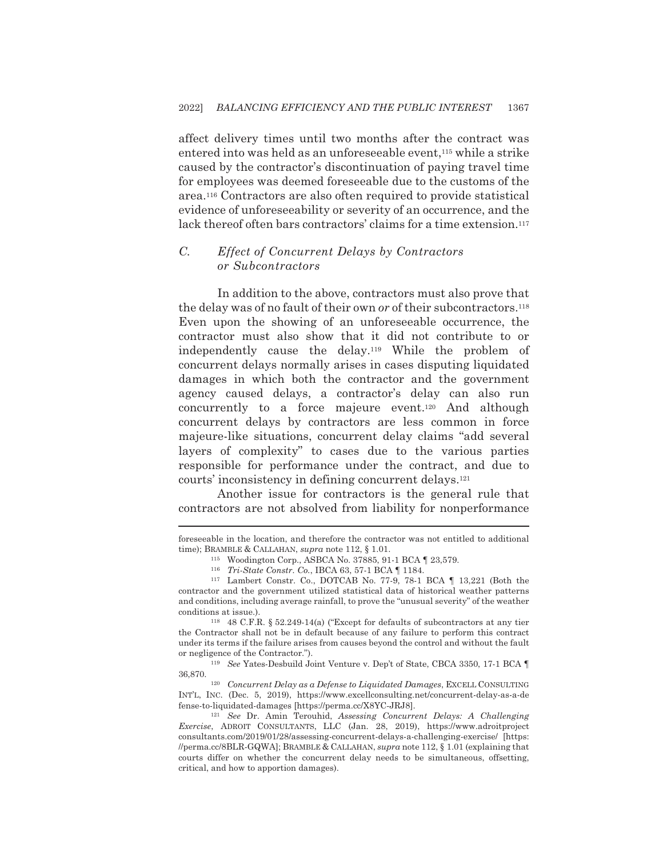affect delivery times until two months after the contract was entered into was held as an unforeseeable event,<sup>115</sup> while a strike caused by the contractor's discontinuation of paying travel time for employees was deemed foreseeable due to the customs of the area.<sup>116</sup> Contractors are also often required to provide statistical evidence of unforeseeability or severity of an occurrence, and the lack thereof often bars contractors' claims for a time extension.<sup>117</sup>

## $\overline{C}$ . **Effect of Concurrent Delays by Contractors** or Subcontractors

In addition to the above, contractors must also prove that the delay was of no fault of their own or of their subcontractors.<sup>118</sup> Even upon the showing of an unforeseeable occurrence, the contractor must also show that it did not contribute to or independently cause the delay.<sup>119</sup> While the problem of concurrent delays normally arises in cases disputing liquidated damages in which both the contractor and the government agency caused delays, a contractor's delay can also run concurrently to a force majeure event.<sup>120</sup> And although concurrent delays by contractors are less common in force majeure-like situations, concurrent delay claims "add several layers of complexity" to cases due to the various parties responsible for performance under the contract, and due to courts' inconsistency in defining concurrent delays.<sup>121</sup>

Another issue for contractors is the general rule that contractors are not absolved from liability for nonperformance

foreseeable in the location, and therefore the contractor was not entitled to additional time); BRAMBLE & CALLAHAN, supra note 112, § 1.01.

<sup>115</sup> Woodington Corp., ASBCA No. 37885, 91-1 BCA | 23,579.

<sup>116</sup> Tri-State Constr. Co., IBCA 63, 57-1 BCA | 1184.

<sup>117</sup> Lambert Constr. Co., DOTCAB No. 77-9, 78-1 BCA ¶ 13,221 (Both the contractor and the government utilized statistical data of historical weather patterns and conditions, including average rainfall, to prove the "unusual severity" of the weather conditions at issue.).

<sup>118</sup> 48 C.F.R. § 52.249-14(a) ("Except for defaults of subcontractors at any tier the Contractor shall not be in default because of any failure to perform this contract under its terms if the failure arises from causes beyond the control and without the fault or negligence of the Contractor.").

<sup>119</sup> See Yates-Desbuild Joint Venture v. Dep't of State, CBCA 3350, 17-1 BCA ¶ 36,870.

<sup>120</sup> Concurrent Delay as a Defense to Liquidated Damages, EXCELL CONSULTING INTL, INC. (Dec. 5, 2019), https://www.excellconsulting.net/concurrent-delay-as-a-de fense-to-liquidated-damages [https://perma.cc/X8YC-JRJ8].

<sup>121</sup> See Dr. Amin Terouhid, Assessing Concurrent Delays: A Challenging Exercise, ADROIT CONSULTANTS, LLC (Jan. 28, 2019), https://www.adroitproject consultants.com/2019/01/28/assessing-concurrent-delays-a-challenging-exercise/ [https: //perma.cc/8BLR-GQWA]; BRAMBLE & CALLAHAN, supra note 112, § 1.01 (explaining that courts differ on whether the concurrent delay needs to be simultaneous, offsetting, critical, and how to apportion damages).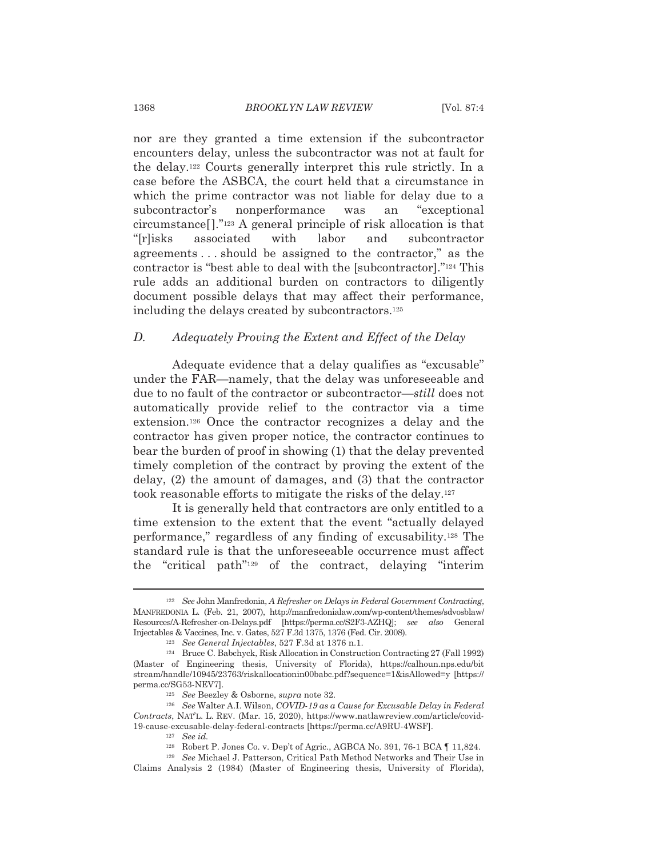nor are they granted a time extension if the subcontractor encounters delay, unless the subcontractor was not at fault for the delay.<sup>122</sup> Courts generally interpret this rule strictly. In a case before the ASBCA, the court held that a circumstance in which the prime contractor was not liable for delay due to a subcontractor's nonperformance was an "exceptional circumstance<sup>[1]</sup>.<sup>"123</sup> A general principle of risk allocation is that "[r]isks associated with labor and subcontractor agreements...should be assigned to the contractor," as the contractor is "best able to deal with the [subcontractor]."<sup>124</sup> This rule adds an additional burden on contractors to diligently document possible delays that may affect their performance, including the delays created by subcontractors.<sup>125</sup>

### $D_{\cdot}$ Adequately Proving the Extent and Effect of the Delay

Adequate evidence that a delay qualifies as "excusable" under the FAR—namely, that the delay was unforeseeable and due to no fault of the contractor or subcontractor—still does not automatically provide relief to the contractor via a time extension.<sup>126</sup> Once the contractor recognizes a delay and the contractor has given proper notice, the contractor continues to bear the burden of proof in showing (1) that the delay prevented timely completion of the contract by proving the extent of the delay,  $(2)$  the amount of damages, and  $(3)$  that the contractor took reasonable efforts to mitigate the risks of the delay.<sup>127</sup>

It is generally held that contractors are only entitled to a time extension to the extent that the event "actually delayed" performance," regardless of any finding of excusability.<sup>128</sup> The standard rule is that the unforeseeable occurrence must affect the "critical path"<sup>129</sup> of the contract, delaying "interim

<sup>&</sup>lt;sup>122</sup> See John Manfredonia, A Refresher on Delays in Federal Government Contracting, MANFREDONIA L. (Feb. 21, 2007), http://manfredonialaw.com/wp-content/themes/sdvosblaw/ Resources/A-Refresher-on-Delays.pdf [https://perma.cc/S2F3-AZHQ]; see also General Injectables & Vaccines, Inc. v. Gates, 527 F.3d 1375, 1376 (Fed. Cir. 2008).

<sup>&</sup>lt;sup>123</sup> See General Injectables, 527 F.3d at 1376 n.1.

<sup>&</sup>lt;sup>124</sup> Bruce C. Babchyck, Risk Allocation in Construction Contracting 27 (Fall 1992) (Master of Engineering thesis, University of Florida), https://calhoun.nps.edu/bit stream/handle/10945/23763/riskallocationin00babc.pdf?sequence=1&isAllowed=y [https:// perma.cc/SG53-NEV7].

<sup>&</sup>lt;sup>125</sup> See Beezley & Osborne, *supra* note 32.

<sup>&</sup>lt;sup>126</sup> See Walter A.I. Wilson, COVID-19 as a Cause for Excusable Delay in Federal Contracts, NAT'L. L. REV. (Mar. 15, 2020), https://www.natlawreview.com/article/covid-19-cause-excusable-delay-federal-contracts [https://perma.cc/A9RU-4WSF].

 $127$  See id.

<sup>&</sup>lt;sup>128</sup> Robert P. Jones Co. v. Dep't of Agric., AGBCA No. 391, 76-1 BCA 1 11,824.

<sup>&</sup>lt;sup>129</sup> See Michael J. Patterson, Critical Path Method Networks and Their Use in Claims Analysis 2 (1984) (Master of Engineering thesis, University of Florida),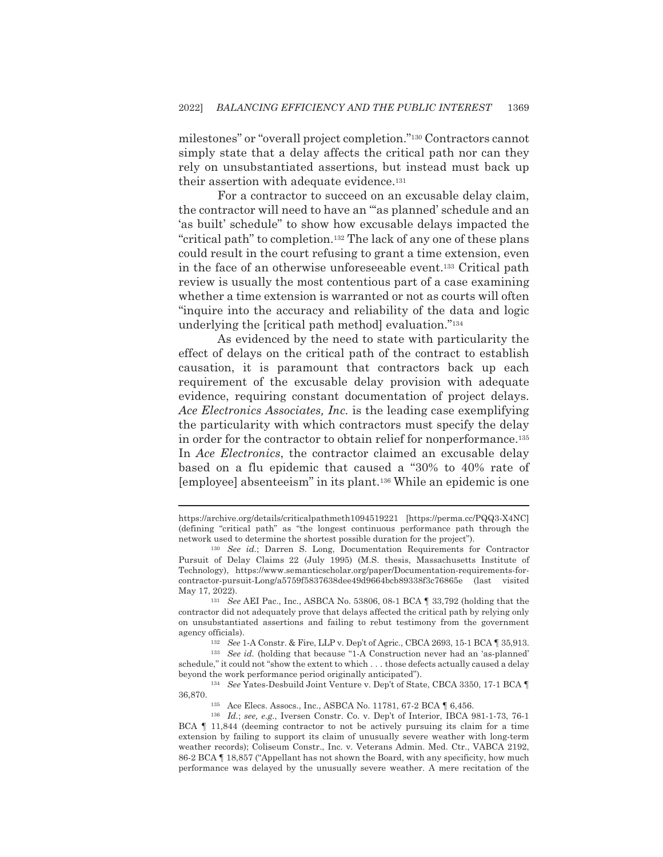milestones" or "overall project completion."<sup>130</sup> Contractors cannot simply state that a delay affects the critical path nor can they rely on unsubstantiated assertions, but instead must back up their assertion with adequate evidence.<sup>131</sup>

For a contractor to succeed on an excusable delay claim, the contractor will need to have an "as planned' schedule and an 'as built' schedule" to show how excusable delays impacted the "critical path" to completion.<sup>132</sup> The lack of any one of these plans could result in the court refusing to grant a time extension, even in the face of an otherwise unforeseeable event.<sup>133</sup> Critical path review is usually the most contentious part of a case examining whether a time extension is warranted or not as courts will often "inquire into the accuracy and reliability of the data and logic underlying the [critical path method] evaluation."<sup>134</sup>

As evidenced by the need to state with particularity the effect of delays on the critical path of the contract to establish causation, it is paramount that contractors back up each requirement of the excusable delay provision with adequate evidence, requiring constant documentation of project delays. Ace Electronics Associates, Inc. is the leading case exemplifying the particularity with which contractors must specify the delay in order for the contractor to obtain relief for nonperformance.<sup>135</sup> In Ace Electronics, the contractor claimed an excusable delay based on a flu epidemic that caused a "30% to 40% rate of [employee] absenteeism" in its plant.<sup>136</sup> While an epidemic is one

https://archive.org/details/criticalpathmeth1094519221 [https://perma.cc/PQQ3-X4NC] (defining "critical path" as "the longest continuous performance path through the network used to determine the shortest possible duration for the project".

<sup>&</sup>lt;sup>130</sup> See id.; Darren S. Long, Documentation Requirements for Contractor Pursuit of Delay Claims 22 (July 1995) (M.S. thesis, Massachusetts Institute of Technology), https://www.semanticscholar.org/paper/Documentation-requirements-forcontractor-pursuit-Long/a5759f5837638dee49d9664bcb89338f3c76865e (last visited May 17, 2022).

 $^{131}$  See AEI Pac., Inc., ASBCA No. 53806, 08-1 BCA  $\P$  33,792 (holding that the contractor did not adequately prove that delays affected the critical path by relying only on unsubstantiated assertions and failing to rebut testimony from the government agency officials).

<sup>&</sup>lt;sup>132</sup> See 1-A Constr. & Fire, LLP v. Dep't of Agric., CBCA 2693, 15-1 BCA | 35,913.

<sup>&</sup>lt;sup>133</sup> See id. (holding that because "1-A Construction never had an 'as-planned' schedule," it could not "show the extent to which . . . those defects actually caused a delay beyond the work performance period originally anticipated").

<sup>&</sup>lt;sup>134</sup> See Yates-Desbuild Joint Venture v. Dep't of State, CBCA 3350, 17-1 BCA ¶ 36,870.

<sup>&</sup>lt;sup>135</sup> Ace Elecs. Assocs., Inc., ASBCA No. 11781, 67-2 BCA | 6,456.

<sup>&</sup>lt;sup>136</sup> Id.; see, e.g., Iversen Constr. Co. v. Dep't of Interior, IBCA 981-1-73, 76-1 BCA | 11,844 (deeming contractor to not be actively pursuing its claim for a time extension by failing to support its claim of unusually severe weather with long-term weather records); Coliseum Constr., Inc. v. Veterans Admin. Med. Ctr., VABCA 2192, 86-2 BCA | 18,857 ("Appellant has not shown the Board, with any specificity, how much performance was delayed by the unusually severe weather. A mere recitation of the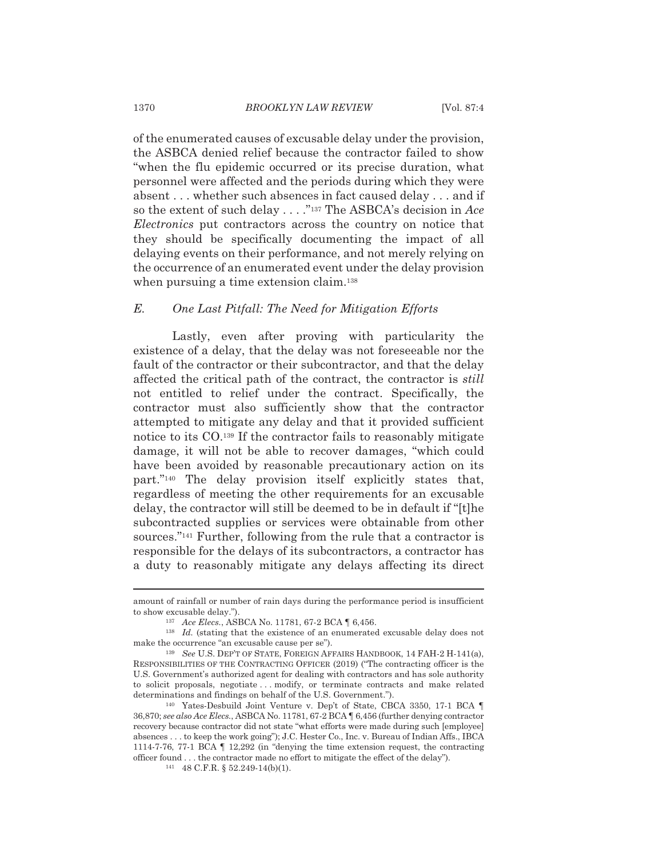of the enumerated causes of excusable delay under the provision, the ASBCA denied relief because the contractor failed to show "when the flu epidemic occurred or its precise duration, what personnel were affected and the periods during which they were absent . . . whether such absences in fact caused delay . . . and if so the extent of such delay . . . . "137 The ASBCA's decision in Ace *Electronics* put contractors across the country on notice that they should be specifically documenting the impact of all delaying events on their performance, and not merely relying on the occurrence of an enumerated event under the delay provision when pursuing a time extension claim.<sup>138</sup>

## $E$ . One Last Pitfall: The Need for Mitigation Efforts

Lastly, even after proving with particularity the existence of a delay, that the delay was not foreseeable nor the fault of the contractor or their subcontractor, and that the delay affected the critical path of the contract, the contractor is *still* not entitled to relief under the contract. Specifically, the contractor must also sufficiently show that the contractor attempted to mitigate any delay and that it provided sufficient notice to its CO.<sup>139</sup> If the contractor fails to reasonably mitigate damage, it will not be able to recover damages, "which could have been avoided by reasonable precautionary action on its part."<sup>140</sup> The delay provision itself explicitly states that, regardless of meeting the other requirements for an excusable delay, the contractor will still be deemed to be in default if "[t] he subcontracted supplies or services were obtainable from other sources."<sup>141</sup> Further, following from the rule that a contractor is responsible for the delays of its subcontractors, a contractor has a duty to reasonably mitigate any delays affecting its direct

amount of rainfall or number of rain days during the performance period is insufficient to show excusable delay.").

<sup>137</sup> Ace Elecs., ASBCA No. 11781, 67-2 BCA | 6,456.

 $138$  *Id.* (stating that the existence of an enumerated excusable delay does not make the occurrence "an excusable cause per se").

<sup>139</sup> See U.S. DEP'T OF STATE, FOREIGN AFFAIRS HANDBOOK, 14 FAH-2 H-141(a), RESPONSIBILITIES OF THE CONTRACTING OFFICER (2019) ("The contracting officer is the U.S. Government's authorized agent for dealing with contractors and has sole authority to solicit proposals, negotiate ... modify, or terminate contracts and make related determinations and findings on behalf of the U.S. Government.").

<sup>&</sup>lt;sup>140</sup> Yates-Desbuild Joint Venture v. Dep't of State, CBCA 3350, 17-1 BCA ¶ 36,870; see also Ace Elecs., ASBCA No. 11781, 67-2 BCA 1 6,456 (further denying contractor recovery because contractor did not state "what efforts were made during such [employee] absences . . . to keep the work going"); J.C. Hester Co., Inc. v. Bureau of Indian Affs., IBCA 1114-7-76, 77-1 BCA  $\P$  12,292 (in "denying the time extension request, the contracting officer found . . . the contractor made no effort to mitigate the effect of the delay").

<sup>141 48</sup> C.F.R. § 52.249-14(b)(1).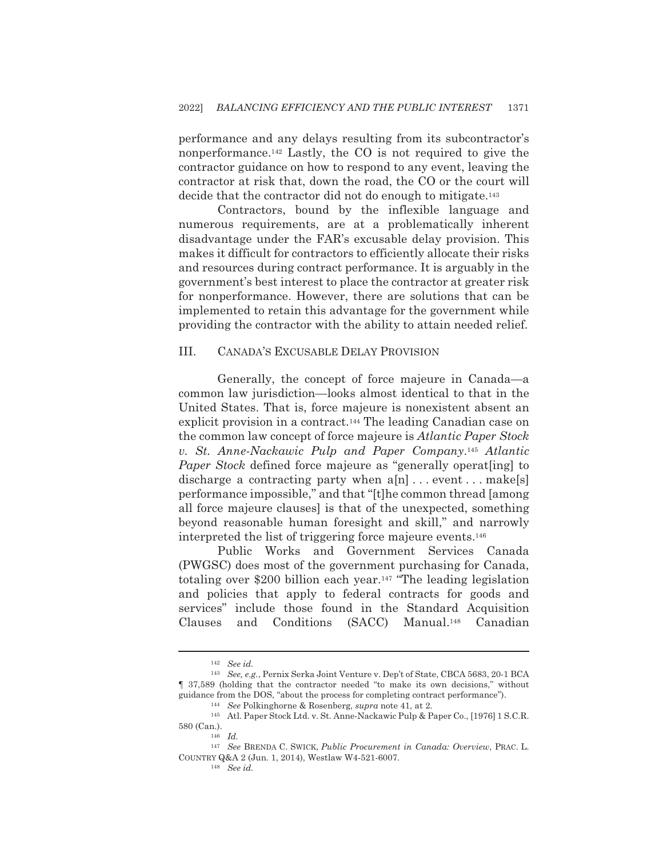performance and any delays resulting from its subcontractor's nonperformance.<sup>142</sup> Lastly, the CO is not required to give the contractor guidance on how to respond to any event, leaving the contractor at risk that, down the road, the CO or the court will decide that the contractor did not do enough to mitigate.<sup>143</sup>

Contractors, bound by the inflexible language and numerous requirements, are at a problematically inherent disadvantage under the FAR's excusable delay provision. This makes it difficult for contractors to efficiently allocate their risks and resources during contract performance. It is arguably in the government's best interest to place the contractor at greater risk for nonperformance. However, there are solutions that can be implemented to retain this advantage for the government while providing the contractor with the ability to attain needed relief.

## III. **CANADA'S EXCUSABLE DELAY PROVISION**

Generally, the concept of force majeure in Canada—a common law jurisdiction—looks almost identical to that in the United States. That is, force majeure is nonexistent absent an explicit provision in a contract.<sup>144</sup> The leading Canadian case on the common law concept of force majeure is *Atlantic Paper Stock* v. St. Anne-Nackawic Pulp and Paper Company.<sup>145</sup> Atlantic *Paper Stock* defined force majeure as "generally operating to discharge a contracting party when  $a[n] \dots$  event... make[s] performance impossible," and that "[t] he common thread [among] all force majeure clauses is that of the unexpected, something beyond reasonable human foresight and skill," and narrowly interpreted the list of triggering force majeure events.<sup>146</sup>

Public Works and Government Services Canada (PWGSC) does most of the government purchasing for Canada, totaling over \$200 billion each year.<sup>147</sup> "The leading legislation" and policies that apply to federal contracts for goods and services" include those found in the Standard Acquisition Clauses and Conditions  $(SACC)$  Manual.<sup>148</sup> Canadian

 $^{142}$  See id.

<sup>143</sup> See, e.g., Pernix Serka Joint Venture v. Dep't of State, CBCA 5683, 20-1 BCA 1 37,589 (holding that the contractor needed "to make its own decisions," without guidance from the DOS, "about the process for completing contract performance").

<sup>&</sup>lt;sup>144</sup> See Polkinghorne & Rosenberg, *supra* note 41, at 2.

<sup>145</sup> Atl. Paper Stock Ltd. v. St. Anne-Nackawic Pulp & Paper Co., [1976] 1 S.C.R. 580 (Can.).

 $146$  *Id.* 

<sup>&</sup>lt;sup>147</sup> See BRENDA C. SWICK, Public Procurement in Canada: Overview, PRAC. L. COUNTRY Q&A 2 (Jun. 1, 2014), Westlaw W4-521-6007.

 $148$  See id.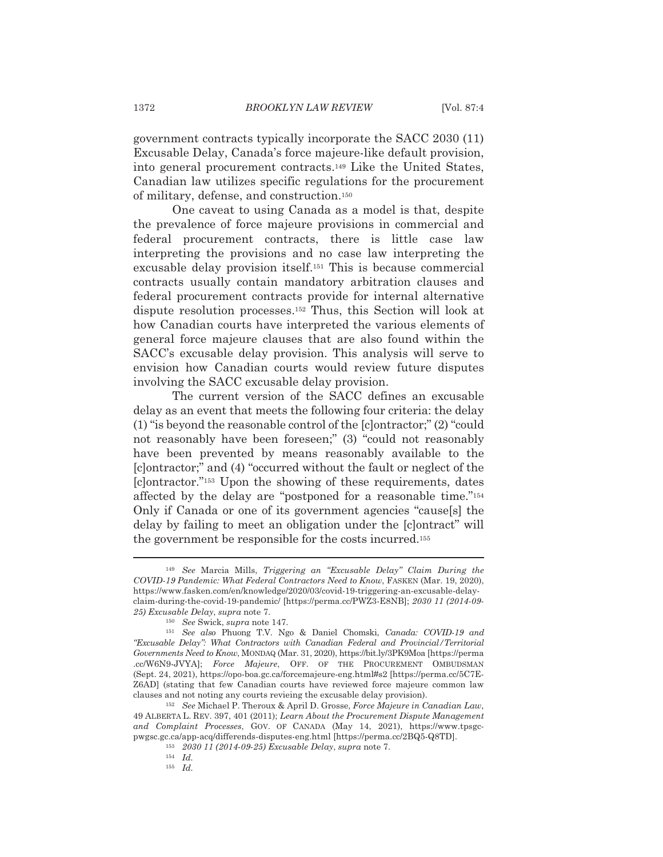government contracts typically incorporate the SACC 2030 (11) Excusable Delay, Canada's force majeure-like default provision, into general procurement contracts.<sup>149</sup> Like the United States, Canadian law utilizes specific regulations for the procurement of military, defense, and construction.<sup>150</sup>

One caveat to using Canada as a model is that, despite the prevalence of force majeure provisions in commercial and federal procurement contracts, there is little case law interpreting the provisions and no case law interpreting the excusable delay provision itself.<sup>151</sup> This is because commercial contracts usually contain mandatory arbitration clauses and federal procurement contracts provide for internal alternative dispute resolution processes.<sup>152</sup> Thus, this Section will look at how Canadian courts have interpreted the various elements of general force majeure clauses that are also found within the SACC's excusable delay provision. This analysis will serve to envision how Canadian courts would review future disputes involving the SACC excusable delay provision.

The current version of the SACC defines an excusable delay as an event that meets the following four criteria: the delay  $(1)$  "is beyond the reasonable control of the [c] ontractor;"  $(2)$  "could" not reasonably have been foreseen;" (3) "could not reasonably have been prevented by means reasonably available to the [c] ontractor;" and (4) "occurred without the fault or neglect of the [c] ontractor."<sup>153</sup> Upon the showing of these requirements, dates affected by the delay are "postponed for a reasonable time."<sup>154</sup> Only if Canada or one of its government agencies "cause[s] the delay by failing to meet an obligation under the [c]ontract" will the government be responsible for the costs incurred.<sup>155</sup>

<sup>&</sup>lt;sup>149</sup> See Marcia Mills, Triggering an "Excusable Delay" Claim During the COVID-19 Pandemic: What Federal Contractors Need to Know. FASKEN (Mar. 19, 2020). https://www.fasken.com/en/knowledge/2020/03/covid-19-triggering-an-excusable-delayclaim-during-the-covid-19-pandemic/ [https://perma.cc/PWZ3-E8NB]; 2030 11 (2014-09-25) Excusable Delay, supra note 7.

<sup>&</sup>lt;sup>150</sup> See Swick, supra note 147.

<sup>&</sup>lt;sup>151</sup> See also Phuong T.V. Ngo & Daniel Chomski, Canada: COVID-19 and "Excusable Delay": What Contractors with Canadian Federal and Provincial/Territorial Governments Need to Know, MONDAQ (Mar. 31, 2020), https://bit.ly/3PK9Moa [https://perma .cc/W6N9-JVYA]; Force Majeure, OFF. OF THE PROCUREMENT OMBUDSMAN (Sept. 24, 2021), https://opo-boa.gc.ca/forcemajeure-eng.html#s2 [https://perma.cc/5C7E-Z6AD] (stating that few Canadian courts have reviewed force majeure common law clauses and not noting any courts revieing the excusable delay provision).

<sup>&</sup>lt;sup>152</sup> See Michael P. Theroux & April D. Grosse, Force Majeure in Canadian Law, 49 ALBERTA L. REV. 397, 401 (2011); Learn About the Procurement Dispute Management and Complaint Processes, GOV. OF CANADA (May 14, 2021), https://www.tpsgcpwgsc.gc.ca/app-acq/differends-disputes-eng.html [https://perma.cc/2BQ5-Q8TD].

<sup>&</sup>lt;sup>153</sup> 2030 11 (2014-09-25) Excusable Delay, supra note 7.

 $154$  *Id.* 

 $155$  *Id.*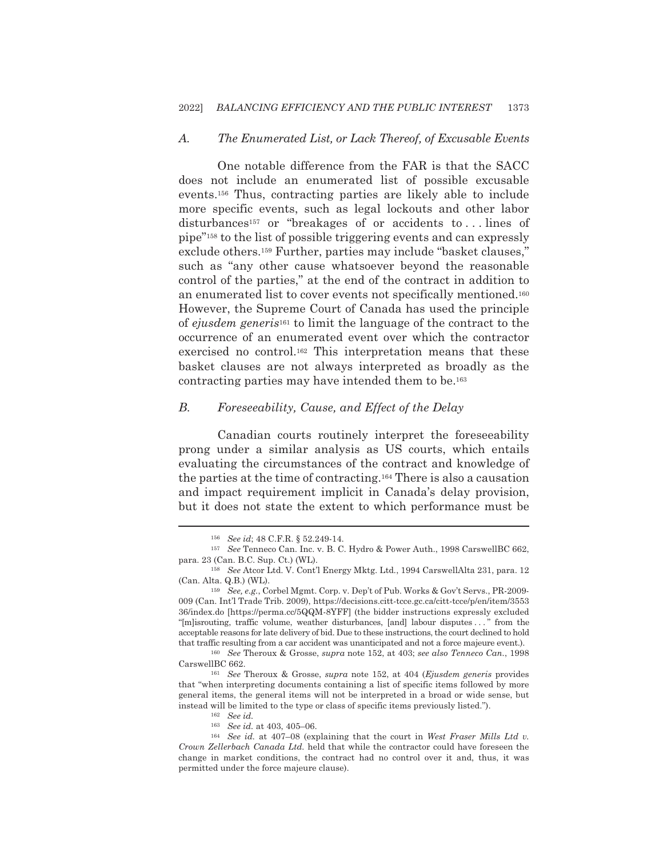#### $A_{\cdot}$ The Enumerated List, or Lack Thereof, of Excusable Events

One notable difference from the FAR is that the SACC does not include an enumerated list of possible excusable events.<sup>156</sup> Thus, contracting parties are likely able to include more specific events, such as legal lockouts and other labor disturbances<sup>157</sup> or "breakages of or accidents to...lines of pipe"<sup>158</sup> to the list of possible triggering events and can expressly exclude others.<sup>159</sup> Further, parties may include "basket clauses," such as "any other cause whatsoever beyond the reasonable control of the parties," at the end of the contract in addition to an enumerated list to cover events not specifically mentioned.<sup>160</sup> However, the Supreme Court of Canada has used the principle of ejusdem generis<sup>161</sup> to limit the language of the contract to the occurrence of an enumerated event over which the contractor exercised no control.<sup>162</sup> This interpretation means that these basket clauses are not always interpreted as broadly as the contracting parties may have intended them to be.<sup>163</sup>

### В. Foreseeability, Cause, and Effect of the Delay

Canadian courts routinely interpret the foreseeability prong under a similar analysis as US courts, which entails evaluating the circumstances of the contract and knowledge of the parties at the time of contracting.<sup>164</sup> There is also a causation and impact requirement implicit in Canada's delay provision, but it does not state the extent to which performance must be

<sup>&</sup>lt;sup>156</sup> See id; 48 C.F.R. § 52.249-14.

<sup>&</sup>lt;sup>157</sup> See Tenneco Can. Inc. v. B. C. Hydro & Power Auth., 1998 CarswellBC 662, para. 23 (Can. B.C. Sup. Ct.) (WL).

<sup>&</sup>lt;sup>158</sup> See Atcor Ltd. V. Cont'l Energy Mktg. Ltd., 1994 CarswellAlta 231, para. 12 (Can. Alta. Q.B.) (WL).

<sup>&</sup>lt;sup>159</sup> See, e.g., Corbel Mgmt. Corp. v. Dep't of Pub. Works & Gov't Servs., PR-2009-009 (Can. Int'l Trade Trib. 2009), https://decisions.citt-tcce.gc.ca/citt-tcce/p/en/item/3553 36/index.do [https://perma.cc/5QQM-8YFF] (the bidder instructions expressly excluded "Implismenting, traffic volume, weather disturbances, [and] labour disputes ..." from the acceptable reasons for late delivery of bid. Due to these instructions, the court declined to hold that traffic resulting from a car accident was unanticipated and not a force majeure event.).

<sup>&</sup>lt;sup>160</sup> See Theroux & Grosse, *supra* note 152, at 403; see also Tenneco Can., 1998 CarswellBC 662.

<sup>&</sup>lt;sup>161</sup> See Theroux & Grosse, *supra* note 152, at 404 (*Ejusdem generis* provides that "when interpreting documents containing a list of specific items followed by more general items, the general items will not be interpreted in a broad or wide sense, but instead will be limited to the type or class of specific items previously listed.").

 $162$  See id.

<sup>&</sup>lt;sup>163</sup> See id. at 403, 405-06.

 $164$  See id. at 407-08 (explaining that the court in West Fraser Mills Ltd v. Crown Zellerbach Canada Ltd. held that while the contractor could have foreseen the change in market conditions, the contract had no control over it and, thus, it was permitted under the force majeure clause).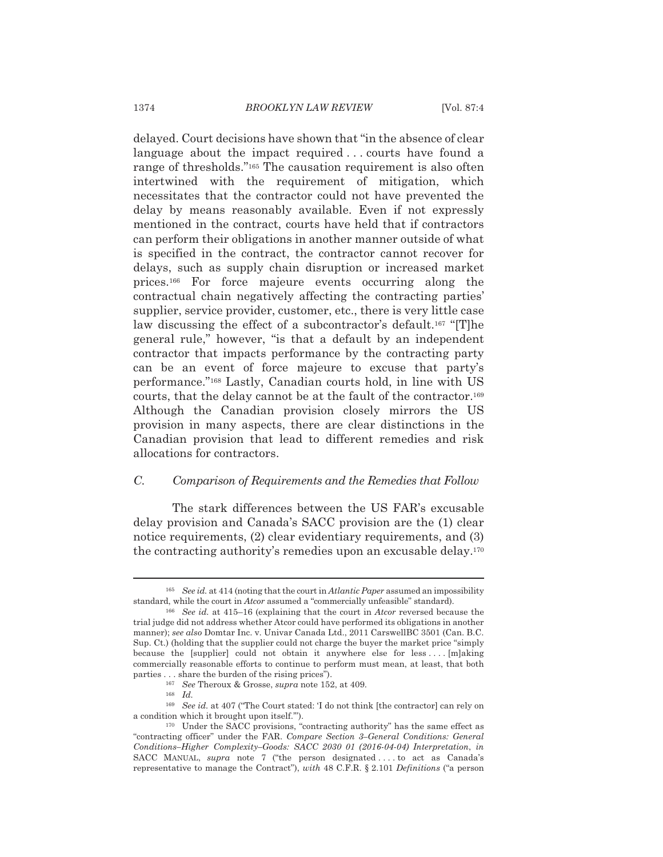delayed. Court decisions have shown that "in the absence of clear language about the impact required...courts have found a range of thresholds."<sup>165</sup> The causation requirement is also often intertwined with the requirement of mitigation, which necessitates that the contractor could not have prevented the delay by means reasonably available. Even if not expressly mentioned in the contract, courts have held that if contractors can perform their obligations in another manner outside of what is specified in the contract, the contractor cannot recover for delays, such as supply chain disruption or increased market prices.<sup>166</sup> For force majeure events occurring along the contractual chain negatively affecting the contracting parties' supplier, service provider, customer, etc., there is very little case law discussing the effect of a subcontractor's default.<sup>167</sup> "[T]he general rule," however, "is that a default by an independent contractor that impacts performance by the contracting party can be an event of force majeure to excuse that party's performance."<sup>168</sup> Lastly, Canadian courts hold, in line with US courts, that the delay cannot be at the fault of the contractor.<sup>169</sup> Although the Canadian provision closely mirrors the US provision in many aspects, there are clear distinctions in the Canadian provision that lead to different remedies and risk allocations for contractors.

## $C_{\cdot}$ Comparison of Requirements and the Remedies that Follow

The stark differences between the US FAR's excusable delay provision and Canada's SACC provision are the (1) clear notice requirements, (2) clear evidentiary requirements, and (3) the contracting authority's remedies upon an excusable delay.<sup>170</sup>

<sup>&</sup>lt;sup>165</sup> See id. at 414 (noting that the court in *Atlantic Paper* assumed an impossibility standard, while the court in *Atcor* assumed a "commercially unfeasible" standard).

 $166$  See id. at 415-16 (explaining that the court in Atcor reversed because the trial judge did not address whether Atcor could have performed its obligations in another manner); see also Domtar Inc. v. Univar Canada Ltd., 2011 CarswellBC 3501 (Can. B.C. Sup. Ct.) (holding that the supplier could not charge the buyer the market price "simply" because the [supplier] could not obtain it anywhere else for less.... [m]aking commercially reasonable efforts to continue to perform must mean, at least, that both parties . . . share the burden of the rising prices").

<sup>&</sup>lt;sup>167</sup> See Theroux & Grosse, *supra* note 152, at 409.

 $168$  *Id.* 

<sup>&</sup>lt;sup>169</sup> See id. at 407 ("The Court stated: 'I do not think [the contractor] can rely on a condition which it brought upon itself.").

<sup>&</sup>lt;sup>170</sup> Under the SACC provisions, "contracting authority" has the same effect as "contracting officer" under the FAR. Compare Section 3-General Conditions: General Conditions-Higher Complexity-Goods: SACC 2030 01 (2016-04-04) Interpretation, in SACC MANUAL, *supra* note 7 ("the person designated....to act as Canada's representative to manage the Contract"), with 48 C.F.R. § 2.101 Definitions ("a person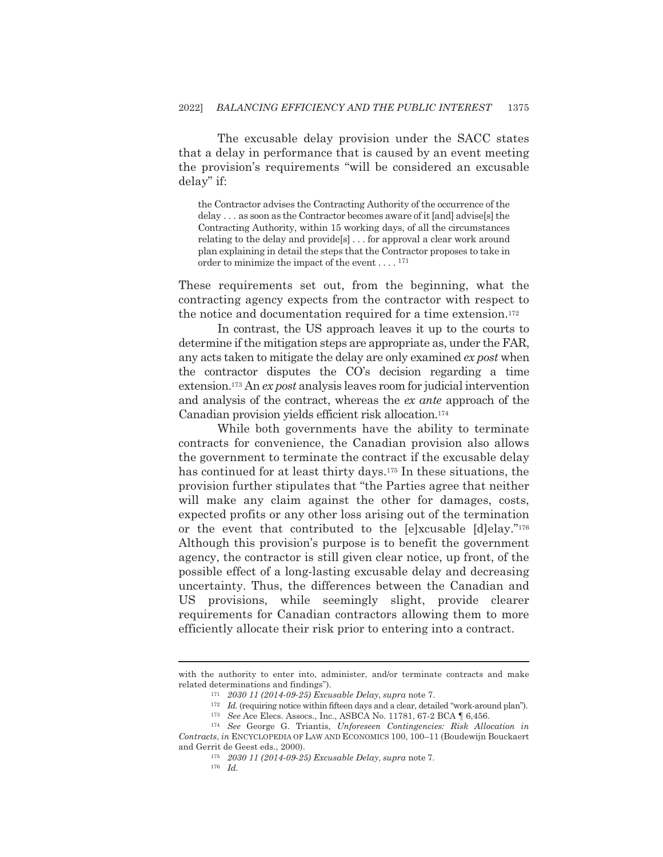The excusable delay provision under the SACC states that a delay in performance that is caused by an event meeting the provision's requirements "will be considered an excusable delay" if:

the Contractor advises the Contracting Authority of the occurrence of the delay . . . as soon as the Contractor becomes aware of it [and] advise[s] the Contracting Authority, within 15 working days, of all the circumstances relating to the delay and provides... for approval a clear work around plan explaining in detail the steps that the Contractor proposes to take in order to minimize the impact of the event  $\dots$ .  $^{171}$ 

These requirements set out, from the beginning, what the contracting agency expects from the contractor with respect to the notice and documentation required for a time extension.<sup>172</sup>

In contrast, the US approach leaves it up to the courts to determine if the mitigation steps are appropriate as, under the FAR, any acts taken to mitigate the delay are only examined ex post when the contractor disputes the CO's decision regarding a time extension.<sup>173</sup> An ex post analysis leaves room for judicial intervention and analysis of the contract, whereas the ex ante approach of the Canadian provision yields efficient risk allocation.<sup>174</sup>

While both governments have the ability to terminate contracts for convenience, the Canadian provision also allows the government to terminate the contract if the excusable delay has continued for at least thirty days.<sup>175</sup> In these situations, the provision further stipulates that "the Parties agree that neither will make any claim against the other for damages, costs, expected profits or any other loss arising out of the termination or the event that contributed to the [e]xcusable [d]elay."176 Although this provision's purpose is to benefit the government agency, the contractor is still given clear notice, up front, of the possible effect of a long-lasting excusable delay and decreasing uncertainty. Thus, the differences between the Canadian and US provisions, while seemingly slight, provide clearer requirements for Canadian contractors allowing them to more efficiently allocate their risk prior to entering into a contract.

with the authority to enter into, administer, and/or terminate contracts and make related determinations and findings").

<sup>171 2030 11 (2014-09-25)</sup> Excusable Delay, supra note 7.

 $172$  *Id.* (requiring notice within fifteen days and a clear, detailed "work-around plan").

 $^{173}$   $\,$  See Ace Elecs. Assocs., Inc., ASBCA No. 11781, 67-2 BCA  $\parallel$  6,456.

<sup>&</sup>lt;sup>174</sup> See George G. Triantis, Unforeseen Contingencies: Risk Allocation in Contracts, in ENCYCLOPEDIA OF LAW AND ECONOMICS 100, 100-11 (Boudewijn Bouckaert and Gerrit de Geest eds., 2000).

<sup>175 2030 11 (2014-09-25)</sup> Excusable Delay, supra note 7.

 $176$  *Id.*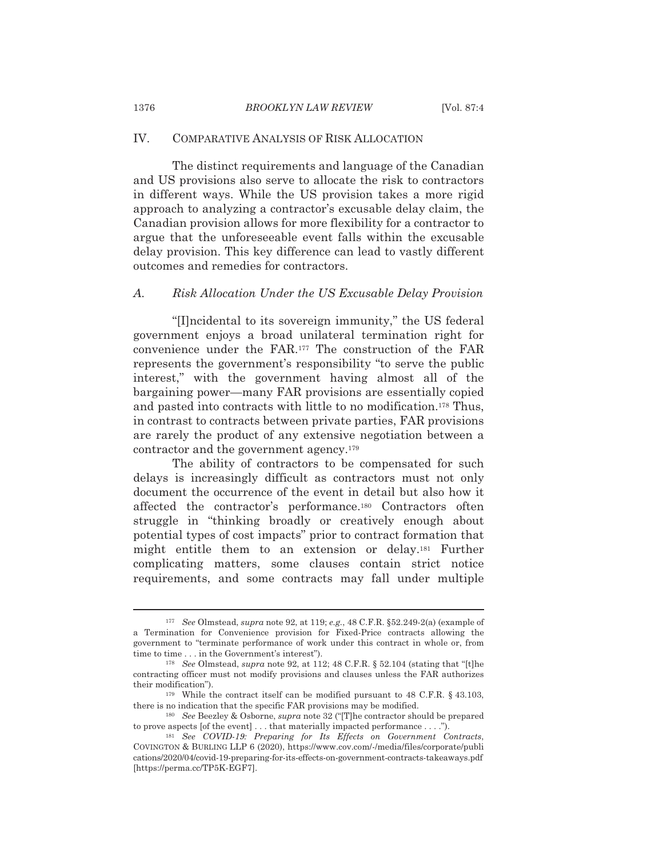### IV. **COMPARATIVE ANALYSIS OF RISK ALLOCATION**

The distinct requirements and language of the Canadian and US provisions also serve to allocate the risk to contractors in different ways. While the US provision takes a more rigid approach to analyzing a contractor's excusable delay claim, the Canadian provision allows for more flexibility for a contractor to argue that the unforeseeable event falls within the excusable delay provision. This key difference can lead to vastly different outcomes and remedies for contractors.

## Risk Allocation Under the US Excusable Delay Provision  $\overline{A}$ .

"[I] ncidental to its sovereign immunity," the US federal government enjoys a broad unilateral termination right for convenience under the FAR.<sup>177</sup> The construction of the FAR represents the government's responsibility "to serve the public interest," with the government having almost all of the bargaining power—many FAR provisions are essentially copied and pasted into contracts with little to no modification.<sup>178</sup> Thus, in contrast to contracts between private parties, FAR provisions are rarely the product of any extensive negotiation between a contractor and the government agency.<sup>179</sup>

The ability of contractors to be compensated for such delays is increasingly difficult as contractors must not only document the occurrence of the event in detail but also how it affected the contractor's performance.<sup>180</sup> Contractors often struggle in "thinking broadly or creatively enough about potential types of cost impacts" prior to contract formation that might entitle them to an extension or delay.<sup>181</sup> Further complicating matters, some clauses contain strict notice requirements, and some contracts may fall under multiple

1376

<sup>&</sup>lt;sup>177</sup> See Olmstead, *supra* note 92, at 119; *e.g.*, 48 C.F.R.  $\S52.249-2(a)$  (example of a Termination for Convenience provision for Fixed-Price contracts allowing the government to "terminate performance of work under this contract in whole or, from time to time . . . in the Government's interest").

<sup>&</sup>lt;sup>178</sup> See Olmstead, *supra* note 92, at 112; 48 C.F.R. § 52.104 (stating that "[t]he contracting officer must not modify provisions and clauses unless the FAR authorizes their modification").

<sup>&</sup>lt;sup>179</sup> While the contract itself can be modified pursuant to 48 C.F.R.  $\S$  43.103, there is no indication that the specific FAR provisions may be modified.

<sup>&</sup>lt;sup>180</sup> See Beezley & Osborne, *supra* note 32 ("T]he contractor should be prepared to prove aspects [of the event]  $\dots$  that materially impacted performance  $\dots$ .").

<sup>181</sup> See COVID-19: Preparing for Its Effects on Government Contracts, COVINGTON & BURLING LLP 6 (2020), https://www.cov.com/-/media/files/corporate/publi cations/2020/04/covid-19-preparing-for-its-effects-on-government-contracts-takeaways.pdf [https://perma.cc/TP5K-EGF7].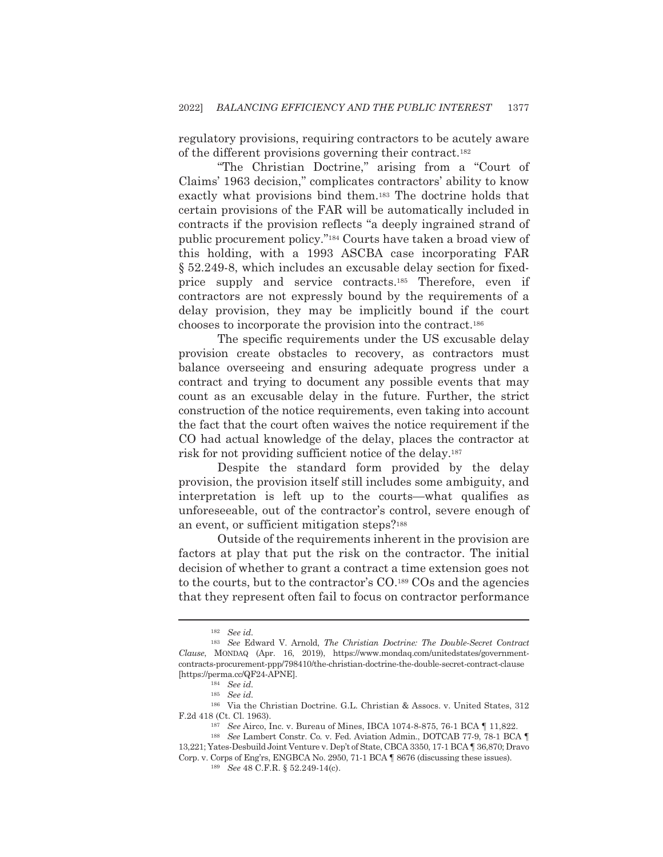regulatory provisions, requiring contractors to be acutely aware of the different provisions governing their contract.<sup>182</sup>

"The Christian Doctrine," arising from a "Court of Claims' 1963 decision," complicates contractors' ability to know exactly what provisions bind them.<sup>183</sup> The doctrine holds that certain provisions of the FAR will be automatically included in contracts if the provision reflects "a deeply ingrained strand of public procurement policy."<sup>184</sup> Courts have taken a broad view of this holding, with a 1993 ASCBA case incorporating FAR § 52.249-8, which includes an excusable delay section for fixedprice supply and service contracts.<sup>185</sup> Therefore, even if contractors are not expressly bound by the requirements of a delay provision, they may be implicitly bound if the court chooses to incorporate the provision into the contract.<sup>186</sup>

The specific requirements under the US excusable delay provision create obstacles to recovery, as contractors must balance overseeing and ensuring adequate progress under a contract and trying to document any possible events that may count as an excusable delay in the future. Further, the strict construction of the notice requirements, even taking into account the fact that the court often waives the notice requirement if the CO had actual knowledge of the delay, places the contractor at risk for not providing sufficient notice of the delay.<sup>187</sup>

Despite the standard form provided by the delay provision, the provision itself still includes some ambiguity, and interpretation is left up to the courts—what qualifies as unforeseeable, out of the contractor's control, severe enough of an event, or sufficient mitigation steps?<sup>188</sup>

Outside of the requirements inherent in the provision are factors at play that put the risk on the contractor. The initial decision of whether to grant a contract a time extension goes not to the courts, but to the contractor's CO.<sup>189</sup> COs and the agencies that they represent often fail to focus on contractor performance

 $182$  See id.

<sup>&</sup>lt;sup>183</sup> See Edward V. Arnold, *The Christian Doctrine: The Double-Secret Contract* Clause, MONDAQ (Apr. 16, 2019), https://www.mondaq.com/unitedstates/governmentcontracts-procurement-ppp/798410/the-christian-doctrine-the-double-secret-contract-clause [https://perma.cc/QF24-APNE].

 $184$  See id.

 $185$  See id.

<sup>&</sup>lt;sup>186</sup> Via the Christian Doctrine. G.L. Christian & Assocs. v. United States, 312 F.2d 418 (Ct. Cl. 1963).

<sup>&</sup>lt;sup>187</sup> See Airco, Inc. v. Bureau of Mines, IBCA 1074-8-875, 76-1 BCA | 11,822.

<sup>&</sup>lt;sup>188</sup> See Lambert Constr. Co. v. Fed. Aviation Admin., DOTCAB 77-9, 78-1 BCA ¶ 13,221; Yates-Desbuild Joint Venture v. Dep't of State, CBCA 3350, 17-1 BCA | 36,870; Dravo Corp. v. Corps of Eng'rs, ENGBCA No. 2950, 71-1 BCA [ 8676 (discussing these issues).

<sup>189</sup> See 48 C.F.R. § 52.249-14(c).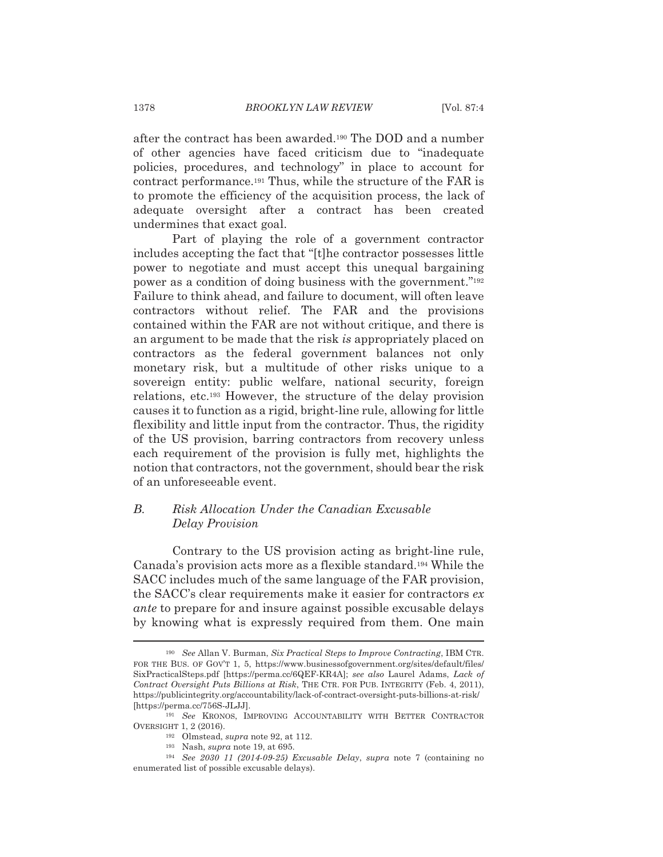after the contract has been awarded.<sup>190</sup> The DOD and a number of other agencies have faced criticism due to "inadequate" policies, procedures, and technology" in place to account for contract performance.<sup>191</sup> Thus, while the structure of the FAR is to promote the efficiency of the acquisition process, the lack of adequate oversight after a contract has been created undermines that exact goal.

Part of playing the role of a government contractor includes accepting the fact that "[t] he contractor possesses little power to negotiate and must accept this unequal bargaining power as a condition of doing business with the government."<sup>192</sup> Failure to think ahead, and failure to document, will often leave contractors without relief. The FAR and the provisions contained within the FAR are not without critique, and there is an argument to be made that the risk is appropriately placed on contractors as the federal government balances not only monetary risk, but a multitude of other risks unique to a sovereign entity: public welfare, national security, foreign relations, etc.<sup>193</sup> However, the structure of the delay provision causes it to function as a rigid, bright-line rule, allowing for little flexibility and little input from the contractor. Thus, the rigidity of the US provision, barring contractors from recovery unless each requirement of the provision is fully met, highlights the notion that contractors, not the government, should bear the risk of an unforeseeable event.

## Risk Allocation Under the Canadian Excusable  $B_{\cdot}$ Delay Provision

Contrary to the US provision acting as bright-line rule, Canada's provision acts more as a flexible standard.<sup>194</sup> While the SACC includes much of the same language of the FAR provision, the SACC's clear requirements make it easier for contractors ex *ante* to prepare for and insure against possible excusable delays by knowing what is expressly required from them. One main

<sup>&</sup>lt;sup>190</sup> See Allan V. Burman, Six Practical Steps to Improve Contracting, IBM CTR. FOR THE BUS. OF GOV'T 1, 5, https://www.businessofgovernment.org/sites/default/files/ SixPracticalSteps.pdf [https://perma.cc/6QEF-KR4A]; see also Laurel Adams, Lack of Contract Oversight Puts Billions at Risk, THE CTR. FOR PUB. INTEGRITY (Feb. 4, 2011), https://publicintegrity.org/accountability/lack-of-contract-oversight-puts-billions-at-risk/ [https://perma.cc/756S-JLJJ].

<sup>&</sup>lt;sup>191</sup> See KRONOS, IMPROVING ACCOUNTABILITY WITH BETTER CONTRACTOR OVERSIGHT 1, 2 (2016).

<sup>&</sup>lt;sup>192</sup> Olmstead, *supra* note 92, at 112.

<sup>&</sup>lt;sup>193</sup> Nash, *supra* note 19, at 695.

 $194$  See 2030 11 (2014-09-25) Excusable Delay, supra note 7 (containing no enumerated list of possible excusable delays).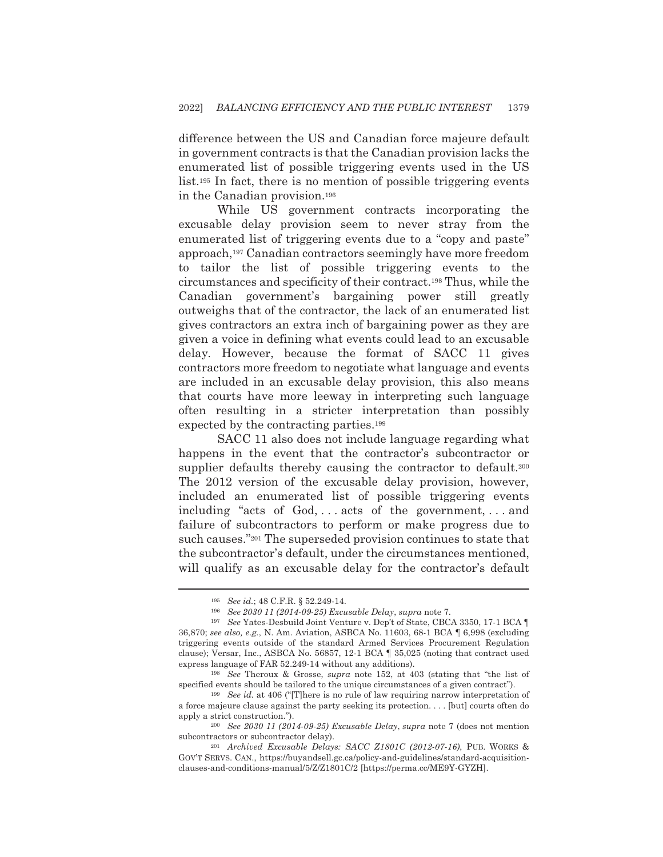difference between the US and Canadian force majeure default in government contracts is that the Canadian provision lacks the enumerated list of possible triggering events used in the US list.<sup>195</sup> In fact, there is no mention of possible triggering events in the Canadian provision.<sup>196</sup>

While US government contracts incorporating the excusable delay provision seem to never stray from the enumerated list of triggering events due to a "copy and paste" approach,<sup>197</sup> Canadian contractors seemingly have more freedom to tailor the list of possible triggering events to the circumstances and specificity of their contract.<sup>198</sup> Thus, while the Canadian government's bargaining power still greatly outweighs that of the contractor, the lack of an enumerated list gives contractors an extra inch of bargaining power as they are given a voice in defining what events could lead to an excusable delay. However, because the format of SACC 11 gives contractors more freedom to negotiate what language and events are included in an excusable delay provision, this also means that courts have more leeway in interpreting such language often resulting in a stricter interpretation than possibly expected by the contracting parties.<sup>199</sup>

SACC 11 also does not include language regarding what happens in the event that the contractor's subcontractor or supplier defaults thereby causing the contractor to default.<sup>200</sup> The 2012 version of the excusable delay provision, however, included an enumerated list of possible triggering events including "acts of  $God, \ldots acts$  of the government,...and failure of subcontractors to perform or make progress due to such causes."201 The superseded provision continues to state that the subcontractor's default, under the circumstances mentioned, will qualify as an excusable delay for the contractor's default

<sup>&</sup>lt;sup>195</sup> See id.; 48 C.F.R. § 52.249-14.

<sup>196</sup> See 2030 11 (2014-09-25) Excusable Delay, supra note 7.

<sup>&</sup>lt;sup>197</sup> See Yates-Desbuild Joint Venture v. Dep't of State, CBCA 3350, 17-1 BCA ¶ 36,870; see also, e.g., N. Am. Aviation, ASBCA No. 11603, 68-1 BCA ¶ 6,998 (excluding triggering events outside of the standard Armed Services Procurement Regulation clause); Versar, Inc., ASBCA No. 56857, 12-1 BCA  $\parallel$  35,025 (noting that contract used express language of FAR 52.249-14 without any additions).

<sup>&</sup>lt;sup>198</sup> See Theroux & Grosse, *supra* note 152, at 403 (stating that "the list of specified events should be tailored to the unique circumstances of a given contract").

 $199$  See id. at 406 ("[T] here is no rule of law requiring narrow interpretation of a force majeure clause against the party seeking its protection.... [but] courts often do apply a strict construction.").

<sup>&</sup>lt;sup>200</sup> See 2030 11 (2014-09-25) Excusable Delay, supra note 7 (does not mention subcontractors or subcontractor delay).

<sup>&</sup>lt;sup>201</sup> Archived Excusable Delays: SACC Z1801C (2012-07-16), PUB. WORKS & GOV'T SERVS. CAN., https://buyandsell.gc.ca/policy-and-guidelines/standard-acquisitionclauses-and-conditions-manual/5/Z/Z1801C/2 [https://perma.cc/ME9Y-GYZH].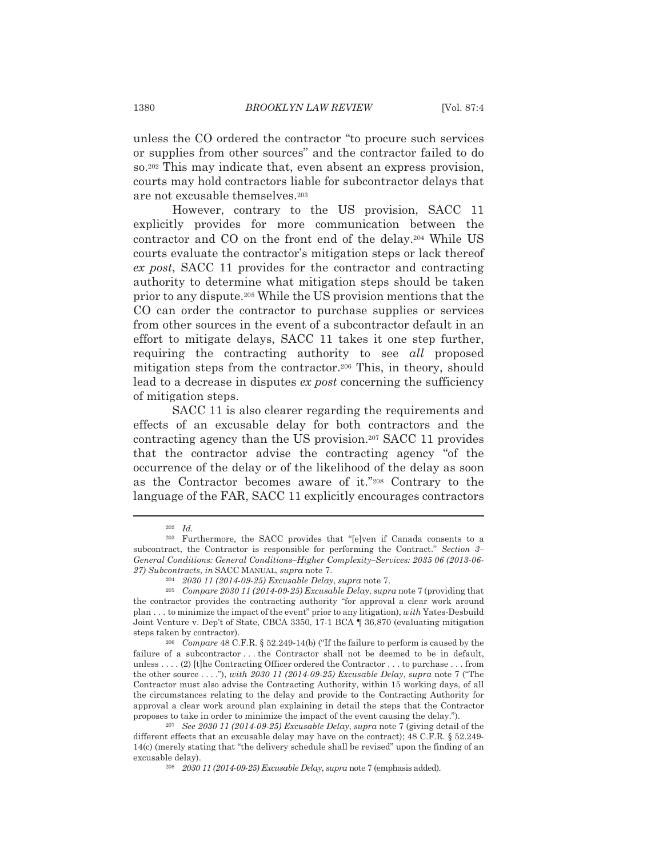unless the CO ordered the contractor "to procure such services" or supplies from other sources" and the contractor failed to do so.<sup>202</sup> This may indicate that, even absent an express provision, courts may hold contractors liable for subcontractor delays that are not excusable themselves.<sup>203</sup>

However, contrary to the US provision, SACC 11 explicitly provides for more communication between the contractor and CO on the front end of the delay.<sup>204</sup> While US courts evaluate the contractor's mitigation steps or lack thereof ex post, SACC 11 provides for the contractor and contracting authority to determine what mitigation steps should be taken prior to any dispute.<sup>205</sup> While the US provision mentions that the CO can order the contractor to purchase supplies or services from other sources in the event of a subcontractor default in an effort to mitigate delays, SACC 11 takes it one step further, requiring the contracting authority to see all proposed mitigation steps from the contractor.<sup>206</sup> This, in theory, should lead to a decrease in disputes ex post concerning the sufficiency of mitigation steps.

SACC 11 is also clearer regarding the requirements and effects of an excusable delay for both contractors and the contracting agency than the US provision.<sup>207</sup> SACC 11 provides that the contractor advise the contracting agency "of the occurrence of the delay or of the likelihood of the delay as soon as the Contractor becomes aware of it."208 Contrary to the language of the FAR, SACC 11 explicitly encourages contractors

 $202$  *Id.* 

<sup>&</sup>lt;sup>203</sup> Furthermore, the SACC provides that "[e]ven if Canada consents to a subcontract, the Contractor is responsible for performing the Contract." Section 3-General Conditions: General Conditions-Higher Complexity-Services: 2035 06 (2013-06-27) Subcontracts, in SACC MANUAL, supra note 7.

<sup>204 2030 11 (2014-09-25)</sup> Excusable Delay, supra note 7.

<sup>&</sup>lt;sup>205</sup> Compare 2030 11 (2014-09-25) Excusable Delay, supra note 7 (providing that the contractor provides the contracting authority "for approval a clear work around plan ... to minimize the impact of the event" prior to any litigation), with Yates-Desbuild Joint Venture v. Dep't of State, CBCA 3350, 17-1 BCA 1 36,870 (evaluating mitigation steps taken by contractor).

<sup>&</sup>lt;sup>206</sup> Compare 48 C.F.R. § 52.249-14(b) ("If the failure to perform is caused by the failure of a subcontractor ... the Contractor shall not be deemed to be in default, unless . . . . (2) [t] he Contracting Officer ordered the Contractor . . . to purchase . . . from the other source ...."), with 2030 11 (2014-09-25) Excusable Delay, supra note 7 ("The Contractor must also advise the Contracting Authority, within 15 working days, of all the circumstances relating to the delay and provide to the Contracting Authority for approval a clear work around plan explaining in detail the steps that the Contractor proposes to take in order to minimize the impact of the event causing the delay.").

<sup>&</sup>lt;sup>207</sup> See 2030 11 (2014-09-25) Excusable Delay, supra note 7 (giving detail of the different effects that an excusable delay may have on the contract); 48 C.F.R. § 52.249- $14(c)$  (merely stating that "the delivery schedule shall be revised" upon the finding of an excusable delay).

<sup>&</sup>lt;sup>208</sup> 2030 11 (2014-09-25) Excusable Delay, supra note 7 (emphasis added).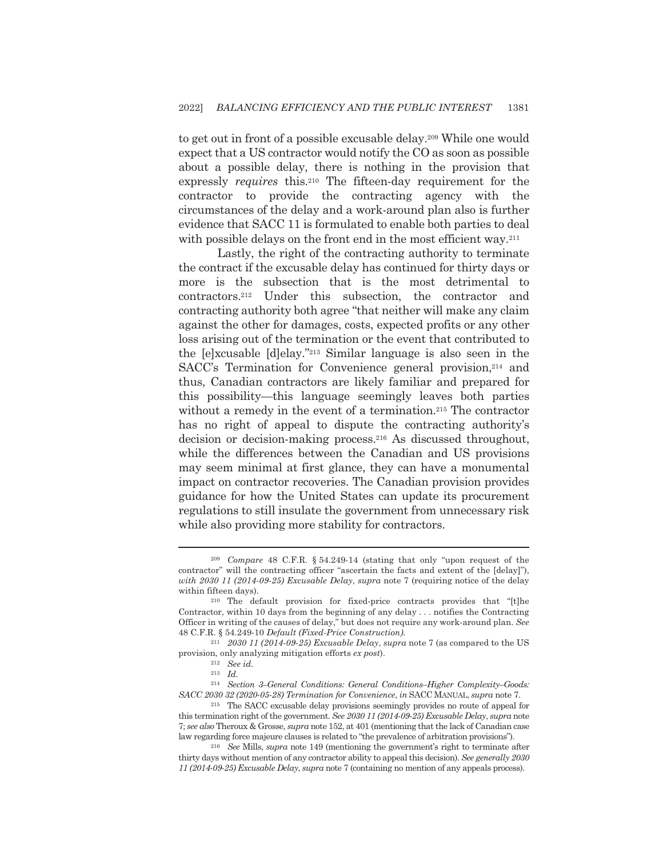to get out in front of a possible excusable delay.<sup>209</sup> While one would expect that a US contractor would notify the CO as soon as possible about a possible delay, there is nothing in the provision that expressly *requires* this.<sup>210</sup> The fifteen-day requirement for the contractor to provide the contracting agency with the circumstances of the delay and a work-around plan also is further evidence that SACC 11 is formulated to enable both parties to deal with possible delays on the front end in the most efficient way.<sup>211</sup>

Lastly, the right of the contracting authority to terminate the contract if the excusable delay has continued for thirty days or more is the subsection that is the most detrimental to contractors.<sup>212</sup> Under this subsection, the contractor and contracting authority both agree "that neither will make any claim" against the other for damages, costs, expected profits or any other loss arising out of the termination or the event that contributed to the [e]xcusable [d]elay."<sup>213</sup> Similar language is also seen in the SACC's Termination for Convenience general provision,<sup>214</sup> and thus, Canadian contractors are likely familiar and prepared for this possibility—this language seemingly leaves both parties without a remedy in the event of a termination.<sup>215</sup> The contractor has no right of appeal to dispute the contracting authority's decision or decision-making process.<sup>216</sup> As discussed throughout, while the differences between the Canadian and US provisions may seem minimal at first glance, they can have a monumental impact on contractor recoveries. The Canadian provision provides guidance for how the United States can update its procurement regulations to still insulate the government from unnecessary risk while also providing more stability for contractors.

<sup>&</sup>lt;sup>209</sup> Compare 48 C.F.R. § 54.249-14 (stating that only "upon request of the contractor" will the contracting officer "ascertain the facts and extent of the [delay]"), with 2030 11 (2014-09-25) Excusable Delay, supra note 7 (requiring notice of the delay within fifteen days).

 $210$  The default provision for fixed-price contracts provides that "[t]he Contractor, within 10 days from the beginning of any delay . . . notifies the Contracting Officer in writing of the causes of delay," but does not require any work-around plan. See 48 C.F.R. § 54.249-10 Default (Fixed-Price Construction).

 $203011$  (2014-09-25) Excusable Delay, supra note 7 (as compared to the US provision, only analyzing mitigation efforts ex post).

 $212$  See id.

 $213$  *Id.* 

 $^{214}$  Section 3–General Conditions: General Conditions–Higher Complexity–Goods: SACC 2030 32 (2020-05-28) Termination for Convenience, in SACC MANUAL, supra note 7.

<sup>&</sup>lt;sup>215</sup> The SACC excusable delay provisions seemingly provides no route of appeal for this termination right of the government. See 2030 11 (2014-09-25) Excusable Delay, supra note 7; see also Theroux & Grosse, supra note 152, at 401 (mentioning that the lack of Canadian case law regarding force majeure clauses is related to "the prevalence of arbitration provisions").

 $216$  See Mills, supra note 149 (mentioning the government's right to terminate after thirty days without mention of any contractor ability to appeal this decision). See generally 2030 11 (2014-09-25) Excusable Delay, supra note 7 (containing no mention of any appeals process).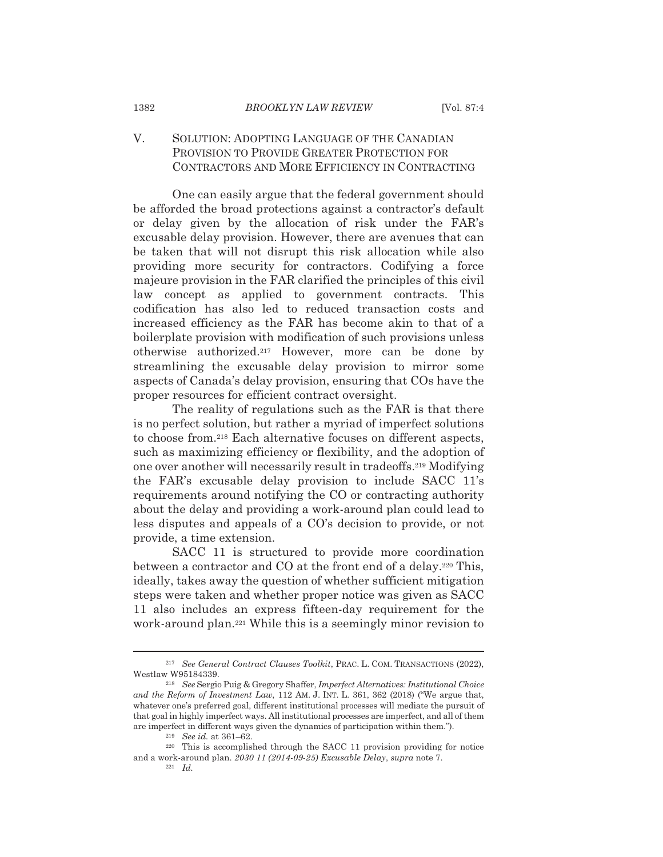## V. SOLUTION: ADOPTING LANGUAGE OF THE CANADIAN PROVISION TO PROVIDE GREATER PROTECTION FOR CONTRACTORS AND MORE EFFICIENCY IN CONTRACTING

One can easily argue that the federal government should be afforded the broad protections against a contractor's default or delay given by the allocation of risk under the FAR's excusable delay provision. However, there are avenues that can be taken that will not disrupt this risk allocation while also providing more security for contractors. Codifying a force majeure provision in the FAR clarified the principles of this civil law concept as applied to government contracts. This codification has also led to reduced transaction costs and increased efficiency as the FAR has become akin to that of a boilerplate provision with modification of such provisions unless otherwise authorized.<sup>217</sup> However, more can be done by streamlining the excusable delay provision to mirror some aspects of Canada's delay provision, ensuring that COs have the proper resources for efficient contract oversight.

The reality of regulations such as the FAR is that there is no perfect solution, but rather a myriad of imperfect solutions to choose from.<sup>218</sup> Each alternative focuses on different aspects, such as maximizing efficiency or flexibility, and the adoption of one over another will necessarily result in tradeoffs.<sup>219</sup> Modifying the FAR's excusable delay provision to include SACC 11's requirements around notifying the CO or contracting authority about the delay and providing a work-around plan could lead to less disputes and appeals of a CO's decision to provide, or not provide, a time extension.

SACC 11 is structured to provide more coordination between a contractor and CO at the front end of a delay.<sup>220</sup> This, ideally, takes away the question of whether sufficient mitigation steps were taken and whether proper notice was given as SACC 11 also includes an express fifteen-day requirement for the work-around plan.<sup>221</sup> While this is a seemingly minor revision to

1382

<sup>&</sup>lt;sup>217</sup> See General Contract Clauses Toolkit, PRAC. L. COM. TRANSACTIONS (2022), Westlaw W95184339.

<sup>&</sup>lt;sup>218</sup> See Sergio Puig & Gregory Shaffer, Imperfect Alternatives: Institutional Choice and the Reform of Investment Law, 112 AM. J. INT. L. 361, 362 (2018) ("We argue that, whatever one's preferred goal, different institutional processes will mediate the pursuit of that goal in highly imperfect ways. All institutional processes are imperfect, and all of them are imperfect in different ways given the dynamics of participation within them.").

<sup>&</sup>lt;sup>219</sup> See id. at 361-62.

<sup>&</sup>lt;sup>220</sup> This is accomplished through the SACC 11 provision providing for notice and a work-around plan. 2030 11 (2014-09-25) Excusable Delay, supra note 7.

 $221 \quad Id.$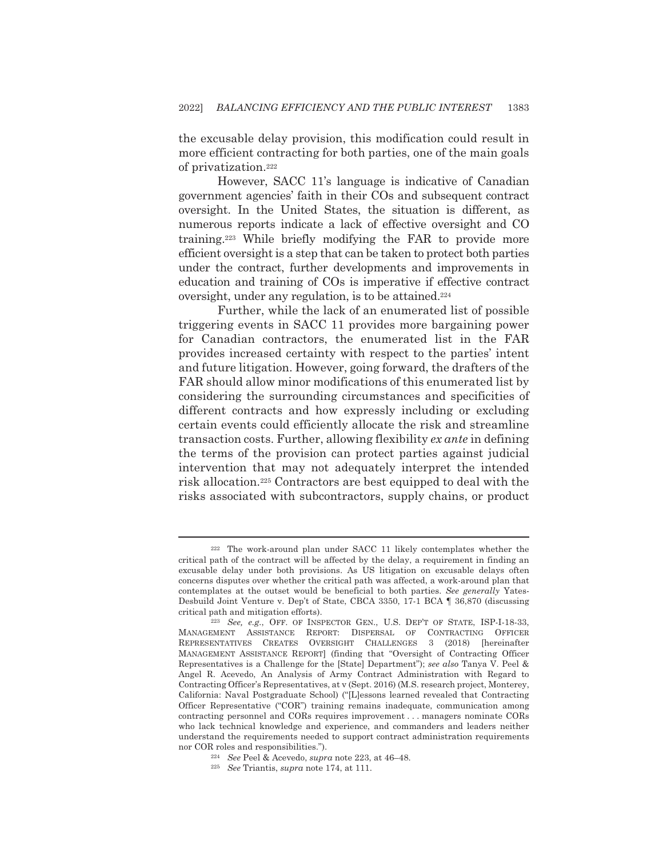the excusable delay provision, this modification could result in more efficient contracting for both parties, one of the main goals of privatization.<sup>222</sup>

However, SACC 11's language is indicative of Canadian government agencies' faith in their COs and subsequent contract oversight. In the United States, the situation is different, as numerous reports indicate a lack of effective oversight and CO training.<sup>223</sup> While briefly modifying the FAR to provide more efficient oversight is a step that can be taken to protect both parties under the contract, further developments and improvements in education and training of COs is imperative if effective contract oversight, under any regulation, is to be attained.<sup>224</sup>

Further, while the lack of an enumerated list of possible triggering events in SACC 11 provides more bargaining power for Canadian contractors, the enumerated list in the FAR provides increased certainty with respect to the parties' intent and future litigation. However, going forward, the drafters of the FAR should allow minor modifications of this enumerated list by considering the surrounding circumstances and specificities of different contracts and how expressly including or excluding certain events could efficiently allocate the risk and streamline transaction costs. Further, allowing flexibility ex ante in defining the terms of the provision can protect parties against judicial intervention that may not adequately interpret the intended risk allocation.<sup>225</sup> Contractors are best equipped to deal with the risks associated with subcontractors, supply chains, or product

<sup>&</sup>lt;sup>222</sup> The work-around plan under SACC 11 likely contemplates whether the critical path of the contract will be affected by the delay, a requirement in finding an excusable delay under both provisions. As US litigation on excusable delays often concerns disputes over whether the critical path was affected, a work-around plan that contemplates at the outset would be beneficial to both parties. See generally Yates-Desbuild Joint Venture v. Dep't of State, CBCA 3350, 17-1 BCA | 36,870 (discussing critical path and mitigation efforts).

<sup>&</sup>lt;sup>223</sup> See, e.g., OFF. OF INSPECTOR GEN., U.S. DEP'T OF STATE, ISP-I-18-33, MANAGEMENT ASSISTANCE REPORT: DISPERSAL OF CONTRACTING OFFICER REPRESENTATIVES CREATES OVERSIGHT CHALLENGES 3 (2018) [hereinafter MANAGEMENT ASSISTANCE REPORT] (finding that "Oversight of Contracting Officer Representatives is a Challenge for the [State] Department"); see also Tanya V. Peel & Angel R. Acevedo, An Analysis of Army Contract Administration with Regard to Contracting Officer's Representatives, at v (Sept. 2016) (M.S. research project, Monterey, California: Naval Postgraduate School) ("[L]essons learned revealed that Contracting Officer Representative ("COR") training remains inadequate, communication among contracting personnel and CORs requires improvement ... managers nominate CORs who lack technical knowledge and experience, and commanders and leaders neither understand the requirements needed to support contract administration requirements nor COR roles and responsibilities.").

<sup>&</sup>lt;sup>224</sup> See Peel & Acevedo, *supra* note 223, at 46-48.

<sup>&</sup>lt;sup>225</sup> See Triantis, supra note 174, at 111.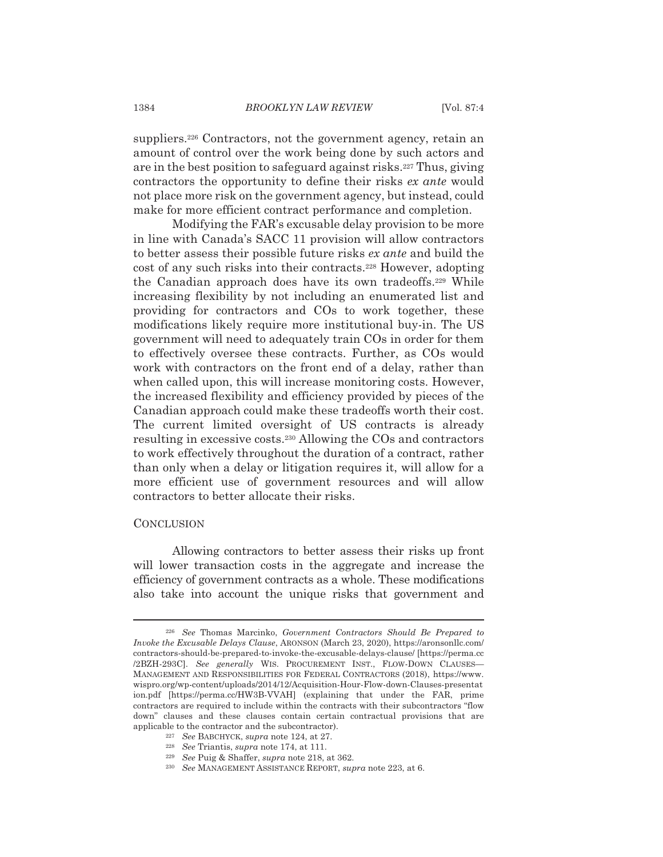suppliers.<sup>226</sup> Contractors, not the government agency, retain an amount of control over the work being done by such actors and are in the best position to safeguard against risks.<sup>227</sup> Thus, giving contractors the opportunity to define their risks ex ante would not place more risk on the government agency, but instead, could make for more efficient contract performance and completion.

Modifying the FAR's excusable delay provision to be more in line with Canada's SACC 11 provision will allow contractors to better assess their possible future risks ex ante and build the cost of any such risks into their contracts.<sup>228</sup> However, adopting the Canadian approach does have its own tradeoffs.<sup>229</sup> While increasing flexibility by not including an enumerated list and providing for contractors and CO<sub>s</sub> to work together, these modifications likely require more institutional buy-in. The US government will need to adequately train COs in order for them to effectively oversee these contracts. Further, as COs would work with contractors on the front end of a delay, rather than when called upon, this will increase monitoring costs. However, the increased flexibility and efficiency provided by pieces of the Canadian approach could make these tradeoffs worth their cost. The current limited oversight of US contracts is already resulting in excessive costs.<sup>230</sup> Allowing the COs and contractors to work effectively throughout the duration of a contract, rather than only when a delay or litigation requires it, will allow for a more efficient use of government resources and will allow contractors to better allocate their risks.

## **CONCLUSION**

Allowing contractors to better assess their risks up front will lower transaction costs in the aggregate and increase the efficiency of government contracts as a whole. These modifications also take into account the unique risks that government and

<sup>&</sup>lt;sup>226</sup> See Thomas Marcinko, Government Contractors Should Be Prepared to Invoke the Excusable Delays Clause, ARONSON (March 23, 2020), https://aronsonllc.com/ contractors-should-be-prepared-to-invoke-the-excusable-delays-clause/ [https://perma.cc /2BZH-293C]. See generally WIS. PROCUREMENT INST., FLOW-DOWN CLAUSES-MANAGEMENT AND RESPONSIBILITIES FOR FEDERAL CONTRACTORS (2018), https://www. wispro.org/wp-content/uploads/2014/12/Acquisition-Hour-Flow-down-Clauses-presentat ion.pdf [https://perma.cc/HW3B-VVAH] (explaining that under the FAR, prime contractors are required to include within the contracts with their subcontractors "flow down" clauses and these clauses contain certain contractual provisions that are applicable to the contractor and the subcontractor).

<sup>&</sup>lt;sup>227</sup> See BABCHYCK, supra note 124, at 27.

 $^{228}\;$  See Triantis, supra note 174, at 111.

<sup>&</sup>lt;sup>229</sup> See Puig & Shaffer, *supra* note 218, at 362.

<sup>&</sup>lt;sup>230</sup> See MANAGEMENT ASSISTANCE REPORT, supra note 223, at 6.